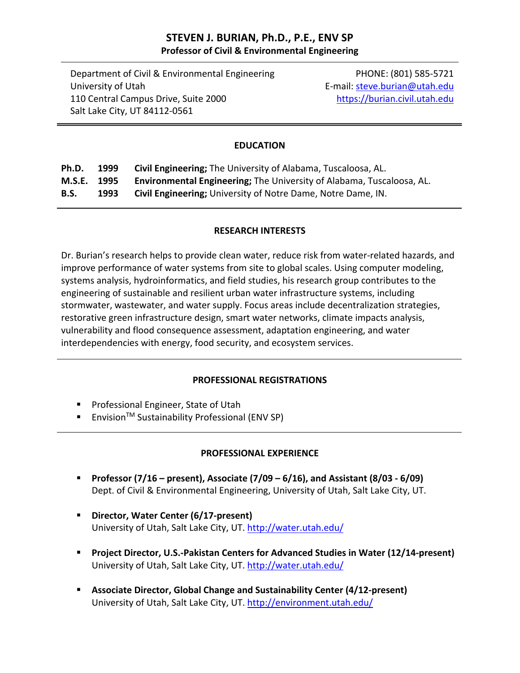# **STEVEN J. BURIAN, Ph.D., P.E., ENV SP Professor of Civil & Environmental Engineering**

Department of Civil & Environmental Engineering PHONE: (801) 585-5721 University of Utah **E**-mail: steve.burian@utah.edu 110 Central Campus Drive, Suite 2000 https://burian.civil.utah.edu Salt Lake City, UT 84112‐0561

#### **EDUCATION**

| Ph.D.       | 1999 | <b>Civil Engineering;</b> The University of Alabama, Tuscaloosa, AL.         |
|-------------|------|------------------------------------------------------------------------------|
| M.S.E. 1995 |      | <b>Environmental Engineering;</b> The University of Alabama, Tuscaloosa, AL. |
| <b>B.S.</b> | 1993 | <b>Civil Engineering;</b> University of Notre Dame, Notre Dame, IN.          |

#### **RESEARCH INTERESTS**

Dr. Burian's research helps to provide clean water, reduce risk from water‐related hazards, and improve performance of water systems from site to global scales. Using computer modeling, systems analysis, hydroinformatics, and field studies, his research group contributes to the engineering of sustainable and resilient urban water infrastructure systems, including stormwater, wastewater, and water supply. Focus areas include decentralization strategies, restorative green infrastructure design, smart water networks, climate impacts analysis, vulnerability and flood consequence assessment, adaptation engineering, and water interdependencies with energy, food security, and ecosystem services.

#### **PROFESSIONAL REGISTRATIONS**

- **Professional Engineer, State of Utah**
- Envision<sup>TM</sup> Sustainability Professional (ENV SP)

#### **PROFESSIONAL EXPERIENCE**

- **Professor (7/16 – present), Associate (7/09 – 6/16), and Assistant (8/03 ‐ 6/09)** Dept. of Civil & Environmental Engineering, University of Utah, Salt Lake City, UT.
- **Director, Water Center (6/17‐present)** University of Utah, Salt Lake City, UT. http://water.utah.edu/
- **Project Director, U.S.‐Pakistan Centers for Advanced Studies in Water (12/14‐present)** University of Utah, Salt Lake City, UT. http://water.utah.edu/
- **Associate Director, Global Change and Sustainability Center (4/12‐present)** University of Utah, Salt Lake City, UT. http://environment.utah.edu/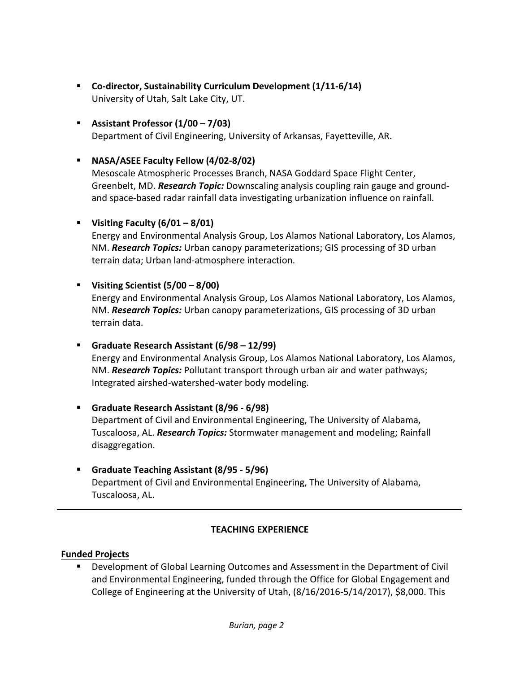- **Co‐director, Sustainability Curriculum Development (1/11‐6/14)** University of Utah, Salt Lake City, UT.
- **Assistant Professor (1/00 – 7/03)** Department of Civil Engineering, University of Arkansas, Fayetteville, AR.

### **NASA/ASEE Faculty Fellow (4/02‐8/02)**

Mesoscale Atmospheric Processes Branch, NASA Goddard Space Flight Center, Greenbelt, MD. *Research Topic:* Downscaling analysis coupling rain gauge and ground‐ and space‐based radar rainfall data investigating urbanization influence on rainfall.

**Visiting Faculty (6/01 – 8/01)**

Energy and Environmental Analysis Group, Los Alamos National Laboratory, Los Alamos, NM. *Research Topics:* Urban canopy parameterizations; GIS processing of 3D urban terrain data; Urban land‐atmosphere interaction.

### **Visiting Scientist (5/00 – 8/00)**

Energy and Environmental Analysis Group, Los Alamos National Laboratory, Los Alamos, NM. *Research Topics:* Urban canopy parameterizations, GIS processing of 3D urban terrain data.

### **Graduate Research Assistant (6/98 – 12/99)**

Energy and Environmental Analysis Group, Los Alamos National Laboratory, Los Alamos, NM. *Research Topics:* Pollutant transport through urban air and water pathways; Integrated airshed‐watershed‐water body modeling.

- **Graduate Research Assistant (8/96 ‐ 6/98)** Department of Civil and Environmental Engineering, The University of Alabama, Tuscaloosa, AL. *Research Topics:* Stormwater management and modeling; Rainfall disaggregation.
- **Graduate Teaching Assistant (8/95 ‐ 5/96)** Department of Civil and Environmental Engineering, The University of Alabama, Tuscaloosa, AL.

# **TEACHING EXPERIENCE**

### **Funded Projects**

 Development of Global Learning Outcomes and Assessment in the Department of Civil and Environmental Engineering, funded through the Office for Global Engagement and College of Engineering at the University of Utah, (8/16/2016‐5/14/2017), \$8,000. This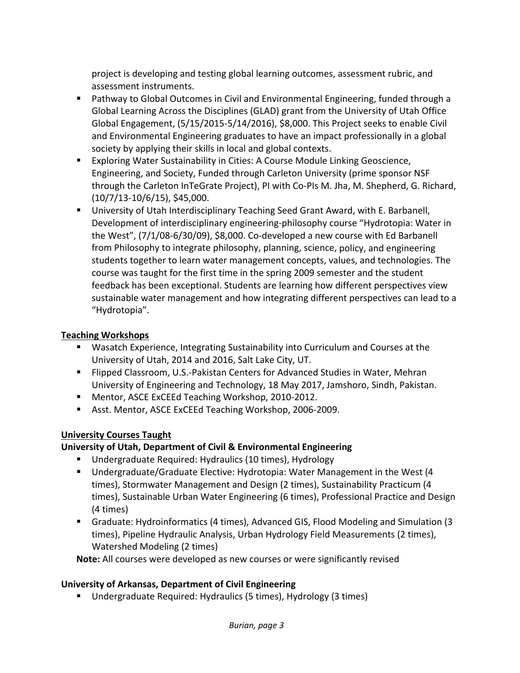project is developing and testing global learning outcomes, assessment rubric, and assessment instruments.

- Pathway to Global Outcomes in Civil and Environmental Engineering, funded through a Global Learning Across the Disciplines (GLAD) grant from the University of Utah Office Global Engagement, (5/15/2015‐5/14/2016), \$8,000. This Project seeks to enable Civil and Environmental Engineering graduates to have an impact professionally in a global society by applying their skills in local and global contexts.
- Exploring Water Sustainability in Cities: A Course Module Linking Geoscience, Engineering, and Society, Funded through Carleton University (prime sponsor NSF through the Carleton InTeGrate Project), PI with Co‐PIs M. Jha, M. Shepherd, G. Richard, (10/7/13‐10/6/15), \$45,000.
- University of Utah Interdisciplinary Teaching Seed Grant Award, with E. Barbanell, Development of interdisciplinary engineering‐philosophy course "Hydrotopia: Water in the West", (7/1/08‐6/30/09), \$8,000. Co‐developed a new course with Ed Barbanell from Philosophy to integrate philosophy, planning, science, policy, and engineering students together to learn water management concepts, values, and technologies. The course was taught for the first time in the spring 2009 semester and the student feedback has been exceptional. Students are learning how different perspectives view sustainable water management and how integrating different perspectives can lead to a "Hydrotopia".

### **Teaching Workshops**

- Wasatch Experience, Integrating Sustainability into Curriculum and Courses at the University of Utah, 2014 and 2016, Salt Lake City, UT.
- Flipped Classroom, U.S.-Pakistan Centers for Advanced Studies in Water, Mehran University of Engineering and Technology, 18 May 2017, Jamshoro, Sindh, Pakistan.
- Mentor, ASCE ExCEEd Teaching Workshop, 2010-2012.
- Asst. Mentor, ASCE ExCEEd Teaching Workshop, 2006-2009.

### **University Courses Taught**

### **University of Utah, Department of Civil & Environmental Engineering**

- Undergraduate Required: Hydraulics (10 times), Hydrology
- Undergraduate/Graduate Elective: Hydrotopia: Water Management in the West (4 times), Stormwater Management and Design (2 times), Sustainability Practicum (4 times), Sustainable Urban Water Engineering (6 times), Professional Practice and Design (4 times)
- Graduate: Hydroinformatics (4 times), Advanced GIS, Flood Modeling and Simulation (3 times), Pipeline Hydraulic Analysis, Urban Hydrology Field Measurements (2 times), Watershed Modeling (2 times)

**Note:** All courses were developed as new courses or were significantly revised

# **University of Arkansas, Department of Civil Engineering**

Undergraduate Required: Hydraulics (5 times), Hydrology (3 times)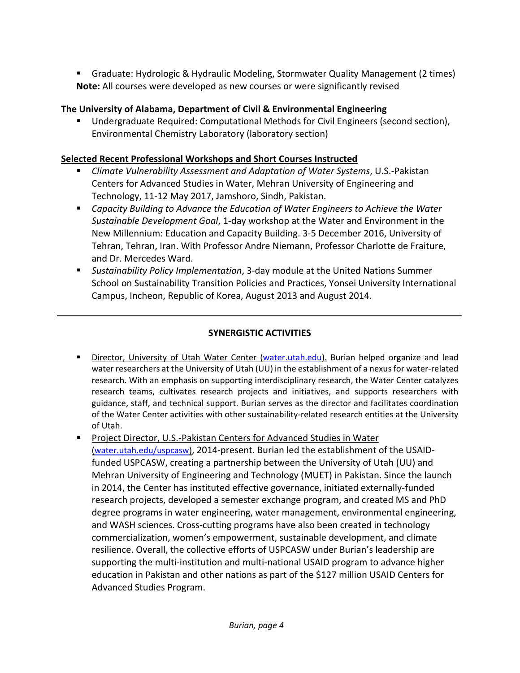Graduate: Hydrologic & Hydraulic Modeling, Stormwater Quality Management (2 times) **Note:** All courses were developed as new courses or were significantly revised

# **The University of Alabama, Department of Civil & Environmental Engineering**

 Undergraduate Required: Computational Methods for Civil Engineers (second section), Environmental Chemistry Laboratory (laboratory section)

### **Selected Recent Professional Workshops and Short Courses Instructed**

- *Climate Vulnerability Assessment and Adaptation of Water Systems*, U.S.‐Pakistan Centers for Advanced Studies in Water, Mehran University of Engineering and Technology, 11‐12 May 2017, Jamshoro, Sindh, Pakistan.
- *Capacity Building to Advance the Education of Water Engineers to Achieve the Water Sustainable Development Goal*, 1‐day workshop at the Water and Environment in the New Millennium: Education and Capacity Building. 3‐5 December 2016, University of Tehran, Tehran, Iran. With Professor Andre Niemann, Professor Charlotte de Fraiture, and Dr. Mercedes Ward.
- Sustainability *Policy Implementation*, 3-day module at the United Nations Summer School on Sustainability Transition Policies and Practices, Yonsei University International Campus, Incheon, Republic of Korea, August 2013 and August 2014.

### **SYNERGISTIC ACTIVITIES**

- **Director, University of Utah Water Center (water.utah.edu). Burian helped organize and lead** water researchers at the University of Utah (UU) in the establishment of a nexus for water-related research. With an emphasis on supporting interdisciplinary research, the Water Center catalyzes research teams, cultivates research projects and initiatives, and supports researchers with guidance, staff, and technical support. Burian serves as the director and facilitates coordination of the Water Center activities with other sustainability‐related research entities at the University of Utah.
- Project Director, U.S.-Pakistan Centers for Advanced Studies in Water (water.utah.edu/uspcasw), 2014‐present. Burian led the establishment of the USAID‐ funded USPCASW, creating a partnership between the University of Utah (UU) and Mehran University of Engineering and Technology (MUET) in Pakistan. Since the launch in 2014, the Center has instituted effective governance, initiated externally‐funded research projects, developed a semester exchange program, and created MS and PhD degree programs in water engineering, water management, environmental engineering, and WASH sciences. Cross‐cutting programs have also been created in technology commercialization, women's empowerment, sustainable development, and climate resilience. Overall, the collective efforts of USPCASW under Burian's leadership are supporting the multi‐institution and multi‐national USAID program to advance higher education in Pakistan and other nations as part of the \$127 million USAID Centers for Advanced Studies Program.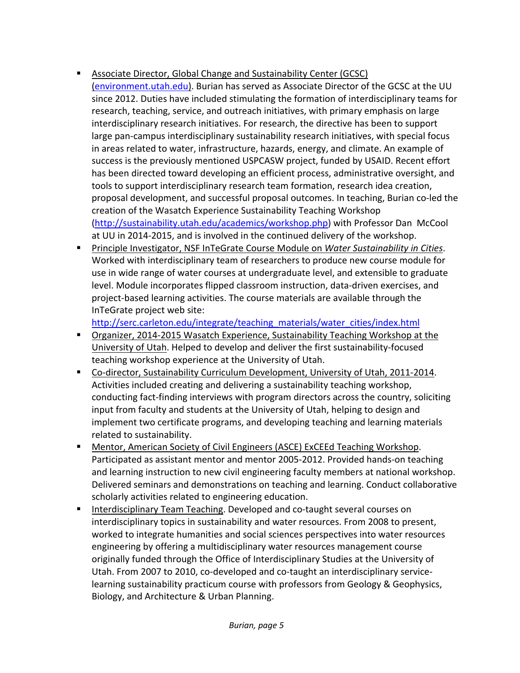# Associate Director, Global Change and Sustainability Center (GCSC)

- (environment.utah.edu). Burian has served as Associate Director of the GCSC at the UU since 2012. Duties have included stimulating the formation of interdisciplinary teams for research, teaching, service, and outreach initiatives, with primary emphasis on large interdisciplinary research initiatives. For research, the directive has been to support large pan-campus interdisciplinary sustainability research initiatives, with special focus in areas related to water, infrastructure, hazards, energy, and climate. An example of success is the previously mentioned USPCASW project, funded by USAID. Recent effort has been directed toward developing an efficient process, administrative oversight, and tools to support interdisciplinary research team formation, research idea creation, proposal development, and successful proposal outcomes. In teaching, Burian co‐led the creation of the Wasatch Experience Sustainability Teaching Workshop (http://sustainability.utah.edu/academics/workshop.php) with Professor Dan McCool at UU in 2014‐2015, and is involved in the continued delivery of the workshop.
- Principle Investigator, NSF InTeGrate Course Module on *Water Sustainability in Cities*. Worked with interdisciplinary team of researchers to produce new course module for use in wide range of water courses at undergraduate level, and extensible to graduate level. Module incorporates flipped classroom instruction, data‐driven exercises, and project‐based learning activities. The course materials are available through the InTeGrate project web site:

http://serc.carleton.edu/integrate/teaching\_materials/water\_cities/index.html

- Organizer, 2014-2015 Wasatch Experience, Sustainability Teaching Workshop at the University of Utah. Helped to develop and deliver the first sustainability‐focused teaching workshop experience at the University of Utah.
- Co-director, Sustainability Curriculum Development, University of Utah, 2011-2014. Activities included creating and delivering a sustainability teaching workshop, conducting fact‐finding interviews with program directors across the country, soliciting input from faculty and students at the University of Utah, helping to design and implement two certificate programs, and developing teaching and learning materials related to sustainability.
- **Mentor, American Society of Civil Engineers (ASCE) ExCEEd Teaching Workshop.** Participated as assistant mentor and mentor 2005‐2012. Provided hands‐on teaching and learning instruction to new civil engineering faculty members at national workshop. Delivered seminars and demonstrations on teaching and learning. Conduct collaborative scholarly activities related to engineering education.
- Interdisciplinary Team Teaching. Developed and co-taught several courses on interdisciplinary topics in sustainability and water resources. From 2008 to present, worked to integrate humanities and social sciences perspectives into water resources engineering by offering a multidisciplinary water resources management course originally funded through the Office of Interdisciplinary Studies at the University of Utah. From 2007 to 2010, co‐developed and co‐taught an interdisciplinary service‐ learning sustainability practicum course with professors from Geology & Geophysics, Biology, and Architecture & Urban Planning.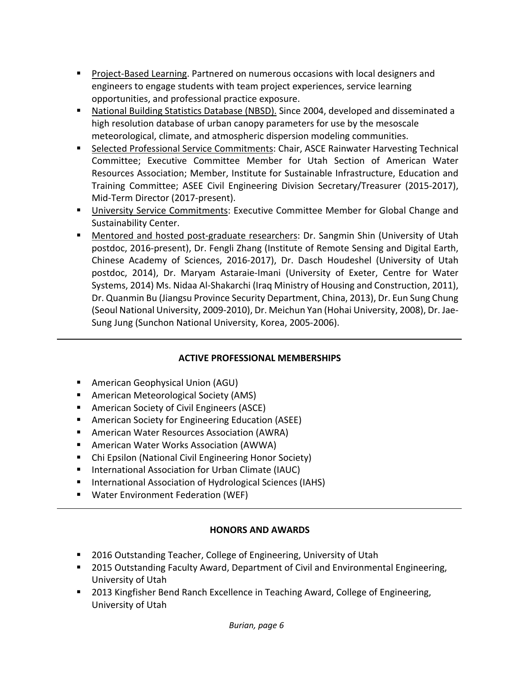- Project-Based Learning. Partnered on numerous occasions with local designers and engineers to engage students with team project experiences, service learning opportunities, and professional practice exposure.
- National Building Statistics Database (NBSD). Since 2004, developed and disseminated a high resolution database of urban canopy parameters for use by the mesoscale meteorological, climate, and atmospheric dispersion modeling communities.
- **Selected Professional Service Commitments: Chair, ASCE Rainwater Harvesting Technical** Committee; Executive Committee Member for Utah Section of American Water Resources Association; Member, Institute for Sustainable Infrastructure, Education and Training Committee; ASEE Civil Engineering Division Secretary/Treasurer (2015‐2017), Mid‐Term Director (2017‐present).
- University Service Commitments: Executive Committee Member for Global Change and Sustainability Center.
- Mentored and hosted post-graduate researchers: Dr. Sangmin Shin (University of Utah postdoc, 2016‐present), Dr. Fengli Zhang (Institute of Remote Sensing and Digital Earth, Chinese Academy of Sciences, 2016‐2017), Dr. Dasch Houdeshel (University of Utah postdoc, 2014), Dr. Maryam Astaraie‐Imani (University of Exeter, Centre for Water Systems, 2014) Ms. Nidaa Al‐Shakarchi (Iraq Ministry of Housing and Construction, 2011), Dr. Quanmin Bu (Jiangsu Province Security Department, China, 2013), Dr. Eun Sung Chung (Seoul National University, 2009‐2010), Dr. Meichun Yan (Hohai University, 2008), Dr. Jae‐ Sung Jung (Sunchon National University, Korea, 2005‐2006).

# **ACTIVE PROFESSIONAL MEMBERSHIPS**

- American Geophysical Union (AGU)
- American Meteorological Society (AMS)
- American Society of Civil Engineers (ASCE)
- **American Society for Engineering Education (ASEE)**
- American Water Resources Association (AWRA)
- American Water Works Association (AWWA)
- Chi Epsilon (National Civil Engineering Honor Society)
- International Association for Urban Climate (IAUC)
- **International Association of Hydrological Sciences (IAHS)**
- Water Environment Federation (WEF)

# **HONORS AND AWARDS**

- 2016 Outstanding Teacher, College of Engineering, University of Utah
- **2015 Outstanding Faculty Award, Department of Civil and Environmental Engineering,** University of Utah
- **2013 Kingfisher Bend Ranch Excellence in Teaching Award, College of Engineering,** University of Utah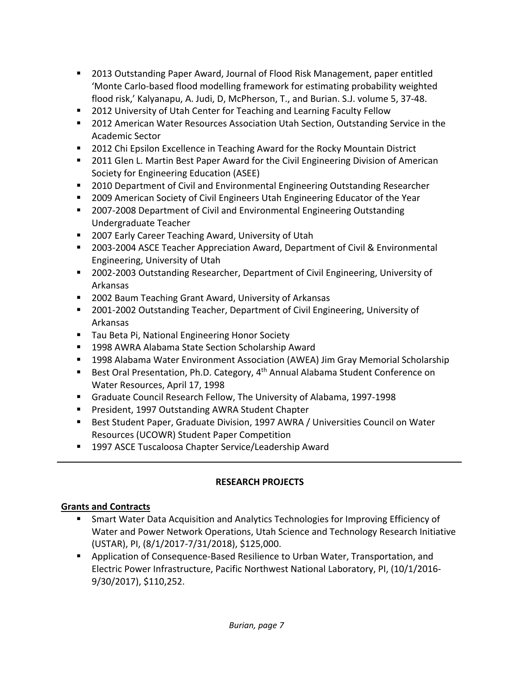- 2013 Outstanding Paper Award, Journal of Flood Risk Management, paper entitled 'Monte Carlo‐based flood modelling framework for estimating probability weighted flood risk,' Kalyanapu, A. Judi, D, McPherson, T., and Burian. S.J. volume 5, 37‐48.
- 2012 University of Utah Center for Teaching and Learning Faculty Fellow
- 2012 American Water Resources Association Utah Section, Outstanding Service in the Academic Sector
- **2012 Chi Epsilon Excellence in Teaching Award for the Rocky Mountain District**
- **2011 Glen L. Martin Best Paper Award for the Civil Engineering Division of American** Society for Engineering Education (ASEE)
- 2010 Department of Civil and Environmental Engineering Outstanding Researcher
- **2009 American Society of Civil Engineers Utah Engineering Educator of the Year**
- 2007-2008 Department of Civil and Environmental Engineering Outstanding Undergraduate Teacher
- 2007 Early Career Teaching Award, University of Utah
- 2003-2004 ASCE Teacher Appreciation Award, Department of Civil & Environmental Engineering, University of Utah
- 2002-2003 Outstanding Researcher, Department of Civil Engineering, University of Arkansas
- 2002 Baum Teaching Grant Award, University of Arkansas
- 2001-2002 Outstanding Teacher, Department of Civil Engineering, University of Arkansas
- **Tau Beta Pi, National Engineering Honor Society**
- 1998 AWRA Alabama State Section Scholarship Award
- **1998 Alabama Water Environment Association (AWEA) Jim Gray Memorial Scholarship**
- Best Oral Presentation, Ph.D. Category, 4<sup>th</sup> Annual Alabama Student Conference on Water Resources, April 17, 1998
- Graduate Council Research Fellow, The University of Alabama, 1997-1998
- **President, 1997 Outstanding AWRA Student Chapter**
- **Best Student Paper, Graduate Division, 1997 AWRA / Universities Council on Water** Resources (UCOWR) Student Paper Competition
- 1997 ASCE Tuscaloosa Chapter Service/Leadership Award

### **RESEARCH PROJECTS**

### **Grants and Contracts**

- Smart Water Data Acquisition and Analytics Technologies for Improving Efficiency of Water and Power Network Operations, Utah Science and Technology Research Initiative (USTAR), PI, (8/1/2017‐7/31/2018), \$125,000.
- Application of Consequence-Based Resilience to Urban Water, Transportation, and Electric Power Infrastructure, Pacific Northwest National Laboratory, PI, (10/1/2016‐ 9/30/2017), \$110,252.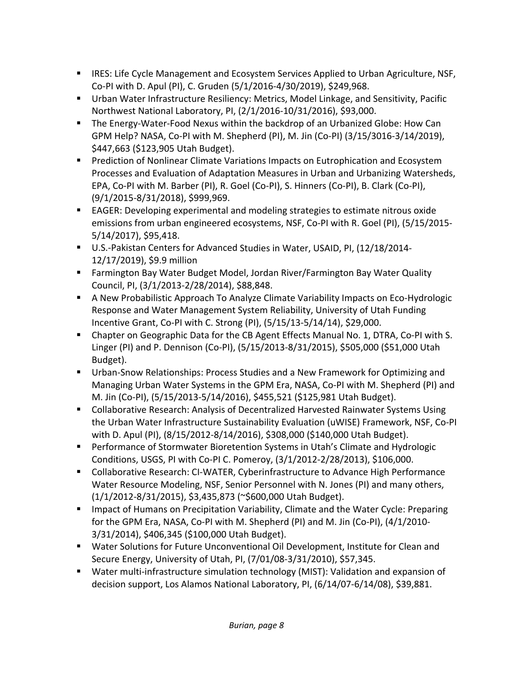- **IRES: Life Cycle Management and Ecosystem Services Applied to Urban Agriculture, NSF,** Co‐PI with D. Apul (PI), C. Gruden (5/1/2016‐4/30/2019), \$249,968.
- Urban Water Infrastructure Resiliency: Metrics, Model Linkage, and Sensitivity, Pacific Northwest National Laboratory, PI, (2/1/2016‐10/31/2016), \$93,000.
- The Energy-Water-Food Nexus within the backdrop of an Urbanized Globe: How Can GPM Help? NASA, Co‐PI with M. Shepherd (PI), M. Jin (Co‐PI) (3/15/3016‐3/14/2019), \$447,663 (\$123,905 Utah Budget).
- **Prediction of Nonlinear Climate Variations Impacts on Eutrophication and Ecosystem** Processes and Evaluation of Adaptation Measures in Urban and Urbanizing Watersheds, EPA, Co‐PI with M. Barber (PI), R. Goel (Co‐PI), S. Hinners (Co‐PI), B. Clark (Co‐PI), (9/1/2015‐8/31/2018), \$999,969.
- EAGER: Developing experimental and modeling strategies to estimate nitrous oxide emissions from urban engineered ecosystems, NSF, Co-PI with R. Goel (PI), (5/15/2015-5/14/2017), \$95,418.
- U.S.-Pakistan Centers for Advanced Studies in Water, USAID, PI, (12/18/2014-12/17/2019), \$9.9 million
- Farmington Bay Water Budget Model, Jordan River/Farmington Bay Water Quality Council, PI, (3/1/2013‐2/28/2014), \$88,848.
- A New Probabilistic Approach To Analyze Climate Variability Impacts on Eco-Hydrologic Response and Water Management System Reliability, University of Utah Funding Incentive Grant, Co‐PI with C. Strong (PI), (5/15/13‐5/14/14), \$29,000.
- Chapter on Geographic Data for the CB Agent Effects Manual No. 1, DTRA, Co-PI with S. Linger (PI) and P. Dennison (Co‐PI), (5/15/2013‐8/31/2015), \$505,000 (\$51,000 Utah Budget).
- Urban-Snow Relationships: Process Studies and a New Framework for Optimizing and Managing Urban Water Systems in the GPM Era, NASA, Co‐PI with M. Shepherd (PI) and M. Jin (Co‐PI), (5/15/2013‐5/14/2016), \$455,521 (\$125,981 Utah Budget).
- Collaborative Research: Analysis of Decentralized Harvested Rainwater Systems Using the Urban Water Infrastructure Sustainability Evaluation (uWISE) Framework, NSF, Co‐PI with D. Apul (PI), (8/15/2012‐8/14/2016), \$308,000 (\$140,000 Utah Budget).
- **Performance of Stormwater Bioretention Systems in Utah's Climate and Hydrologic** Conditions, USGS, PI with Co‐PI C. Pomeroy, (3/1/2012‐2/28/2013), \$106,000.
- Collaborative Research: CI-WATER, Cyberinfrastructure to Advance High Performance Water Resource Modeling, NSF, Senior Personnel with N. Jones (PI) and many others, (1/1/2012‐8/31/2015), \$3,435,873 (~\$600,000 Utah Budget).
- **Inpact of Humans on Precipitation Variability, Climate and the Water Cycle: Preparing** for the GPM Era, NASA, Co‐PI with M. Shepherd (PI) and M. Jin (Co‐PI), (4/1/2010‐ 3/31/2014), \$406,345 (\$100,000 Utah Budget).
- Water Solutions for Future Unconventional Oil Development, Institute for Clean and Secure Energy, University of Utah, PI, (7/01/08‐3/31/2010), \$57,345.
- Water multi-infrastructure simulation technology (MIST): Validation and expansion of decision support, Los Alamos National Laboratory, PI, (6/14/07‐6/14/08), \$39,881.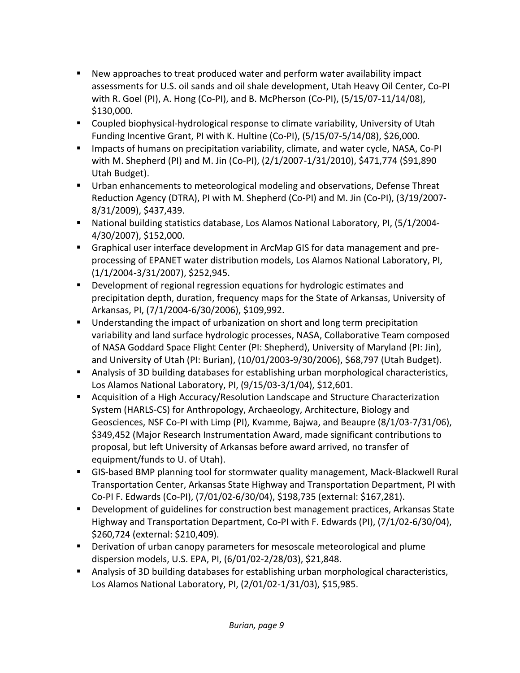- New approaches to treat produced water and perform water availability impact assessments for U.S. oil sands and oil shale development, Utah Heavy Oil Center, Co‐PI with R. Goel (PI), A. Hong (Co‐PI), and B. McPherson (Co‐PI), (5/15/07‐11/14/08), \$130,000.
- Coupled biophysical-hydrological response to climate variability, University of Utah Funding Incentive Grant, PI with K. Hultine (Co‐PI), (5/15/07‐5/14/08), \$26,000.
- Impacts of humans on precipitation variability, climate, and water cycle, NASA, Co-PI with M. Shepherd (PI) and M. Jin (Co‐PI), (2/1/2007‐1/31/2010), \$471,774 (\$91,890 Utah Budget).
- Urban enhancements to meteorological modeling and observations, Defense Threat Reduction Agency (DTRA), PI with M. Shepherd (Co‐PI) and M. Jin (Co‐PI), (3/19/2007‐ 8/31/2009), \$437,439.
- National building statistics database, Los Alamos National Laboratory, PI, (5/1/2004-4/30/2007), \$152,000.
- Graphical user interface development in ArcMap GIS for data management and preprocessing of EPANET water distribution models, Los Alamos National Laboratory, PI, (1/1/2004‐3/31/2007), \$252,945.
- Development of regional regression equations for hydrologic estimates and precipitation depth, duration, frequency maps for the State of Arkansas, University of Arkansas, PI, (7/1/2004‐6/30/2006), \$109,992.
- **Understanding the impact of urbanization on short and long term precipitation** variability and land surface hydrologic processes, NASA, Collaborative Team composed of NASA Goddard Space Flight Center (PI: Shepherd), University of Maryland (PI: Jin), and University of Utah (PI: Burian), (10/01/2003‐9/30/2006), \$68,797 (Utah Budget).
- Analysis of 3D building databases for establishing urban morphological characteristics, Los Alamos National Laboratory, PI, (9/15/03‐3/1/04), \$12,601.
- Acquisition of a High Accuracy/Resolution Landscape and Structure Characterization System (HARLS‐CS) for Anthropology, Archaeology, Architecture, Biology and Geosciences, NSF Co‐PI with Limp (PI), Kvamme, Bajwa, and Beaupre (8/1/03‐7/31/06), \$349,452 (Major Research Instrumentation Award, made significant contributions to proposal, but left University of Arkansas before award arrived, no transfer of equipment/funds to U. of Utah).
- GIS-based BMP planning tool for stormwater quality management, Mack-Blackwell Rural Transportation Center, Arkansas State Highway and Transportation Department, PI with Co‐PI F. Edwards (Co‐PI), (7/01/02‐6/30/04), \$198,735 (external: \$167,281).
- **Development of guidelines for construction best management practices, Arkansas State** Highway and Transportation Department, Co‐PI with F. Edwards (PI), (7/1/02‐6/30/04), \$260,724 (external: \$210,409).
- **Derivation of urban canopy parameters for mesoscale meteorological and plume** dispersion models, U.S. EPA, PI, (6/01/02‐2/28/03), \$21,848.
- Analysis of 3D building databases for establishing urban morphological characteristics, Los Alamos National Laboratory, PI, (2/01/02‐1/31/03), \$15,985.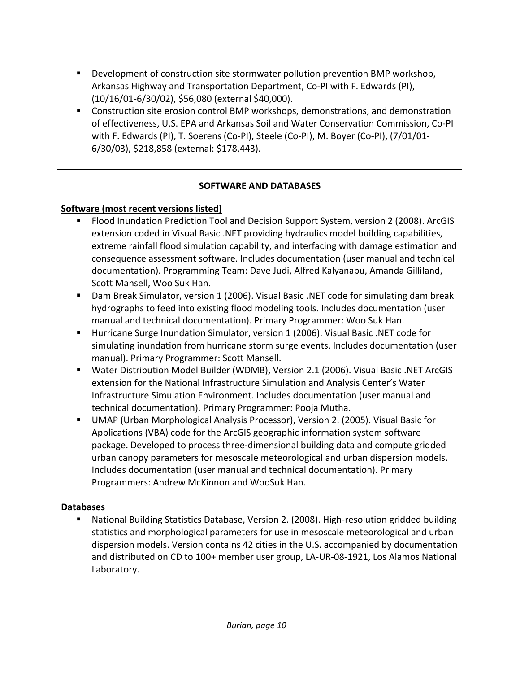- **Development of construction site stormwater pollution prevention BMP workshop,** Arkansas Highway and Transportation Department, Co‐PI with F. Edwards (PI), (10/16/01‐6/30/02), \$56,080 (external \$40,000).
- **Construction site erosion control BMP workshops, demonstrations, and demonstration** of effectiveness, U.S. EPA and Arkansas Soil and Water Conservation Commission, Co‐PI with F. Edwards (PI), T. Soerens (Co‐PI), Steele (Co‐PI), M. Boyer (Co‐PI), (7/01/01‐ 6/30/03), \$218,858 (external: \$178,443).

### **SOFTWARE AND DATABASES**

# **Software (most recent versions listed)**

- Flood Inundation Prediction Tool and Decision Support System, version 2 (2008). ArcGIS extension coded in Visual Basic .NET providing hydraulics model building capabilities, extreme rainfall flood simulation capability, and interfacing with damage estimation and consequence assessment software. Includes documentation (user manual and technical documentation). Programming Team: Dave Judi, Alfred Kalyanapu, Amanda Gilliland, Scott Mansell, Woo Suk Han.
- Dam Break Simulator, version 1 (2006). Visual Basic .NET code for simulating dam break hydrographs to feed into existing flood modeling tools. Includes documentation (user manual and technical documentation). Primary Programmer: Woo Suk Han.
- Hurricane Surge Inundation Simulator, version 1 (2006). Visual Basic .NET code for simulating inundation from hurricane storm surge events. Includes documentation (user manual). Primary Programmer: Scott Mansell.
- Water Distribution Model Builder (WDMB), Version 2.1 (2006). Visual Basic .NET ArcGIS extension for the National Infrastructure Simulation and Analysis Center's Water Infrastructure Simulation Environment. Includes documentation (user manual and technical documentation). Primary Programmer: Pooja Mutha.
- UMAP (Urban Morphological Analysis Processor), Version 2. (2005). Visual Basic for Applications (VBA) code for the ArcGIS geographic information system software package. Developed to process three‐dimensional building data and compute gridded urban canopy parameters for mesoscale meteorological and urban dispersion models. Includes documentation (user manual and technical documentation). Primary Programmers: Andrew McKinnon and WooSuk Han.

### **Databases**

 National Building Statistics Database, Version 2. (2008). High‐resolution gridded building statistics and morphological parameters for use in mesoscale meteorological and urban dispersion models. Version contains 42 cities in the U.S. accompanied by documentation and distributed on CD to 100+ member user group, LA‐UR‐08‐1921, Los Alamos National Laboratory.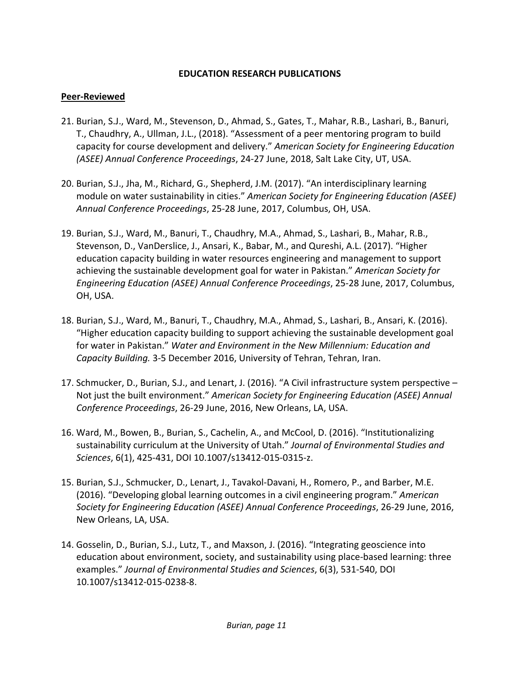#### **EDUCATION RESEARCH PUBLICATIONS**

#### **Peer‐Reviewed**

- 21. Burian, S.J., Ward, M., Stevenson, D., Ahmad, S., Gates, T., Mahar, R.B., Lashari, B., Banuri, T., Chaudhry, A., Ullman, J.L., (2018). "Assessment of a peer mentoring program to build capacity for course development and delivery." *American Society for Engineering Education (ASEE) Annual Conference Proceedings*, 24‐27 June, 2018, Salt Lake City, UT, USA.
- 20. Burian, S.J., Jha, M., Richard, G., Shepherd, J.M. (2017). "An interdisciplinary learning module on water sustainability in cities." *American Society for Engineering Education (ASEE) Annual Conference Proceedings*, 25‐28 June, 2017, Columbus, OH, USA.
- 19. Burian, S.J., Ward, M., Banuri, T., Chaudhry, M.A., Ahmad, S., Lashari, B., Mahar, R.B., Stevenson, D., VanDerslice, J., Ansari, K., Babar, M., and Qureshi, A.L. (2017). "Higher education capacity building in water resources engineering and management to support achieving the sustainable development goal for water in Pakistan." *American Society for Engineering Education (ASEE) Annual Conference Proceedings*, 25‐28 June, 2017, Columbus, OH, USA.
- 18. Burian, S.J., Ward, M., Banuri, T., Chaudhry, M.A., Ahmad, S., Lashari, B., Ansari, K. (2016). "Higher education capacity building to support achieving the sustainable development goal for water in Pakistan." *Water and Environment in the New Millennium: Education and Capacity Building.* 3‐5 December 2016, University of Tehran, Tehran, Iran.
- 17. Schmucker, D., Burian, S.J., and Lenart, J. (2016). "A Civil infrastructure system perspective Not just the built environment." *American Society for Engineering Education (ASEE) Annual Conference Proceedings*, 26‐29 June, 2016, New Orleans, LA, USA.
- 16. Ward, M., Bowen, B., Burian, S., Cachelin, A., and McCool, D. (2016). "Institutionalizing sustainability curriculum at the University of Utah." *Journal of Environmental Studies and Sciences*, 6(1), 425‐431, DOI 10.1007/s13412‐015‐0315‐z.
- 15. Burian, S.J., Schmucker, D., Lenart, J., Tavakol‐Davani, H., Romero, P., and Barber, M.E. (2016). "Developing global learning outcomes in a civil engineering program." *American Society for Engineering Education (ASEE) Annual Conference Proceedings*, 26‐29 June, 2016, New Orleans, LA, USA.
- 14. Gosselin, D., Burian, S.J., Lutz, T., and Maxson, J. (2016). "Integrating geoscience into education about environment, society, and sustainability using place‐based learning: three examples." *Journal of Environmental Studies and Sciences*, 6(3), 531‐540, DOI 10.1007/s13412‐015‐0238‐8.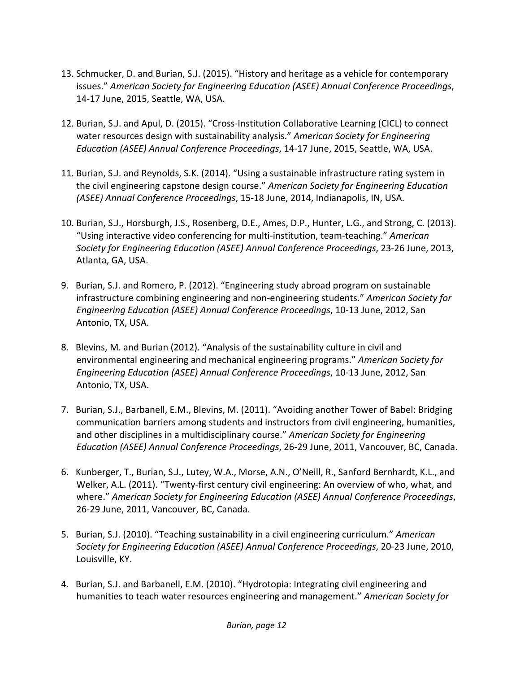- 13. Schmucker, D. and Burian, S.J. (2015). "History and heritage as a vehicle for contemporary issues." *American Society for Engineering Education (ASEE) Annual Conference Proceedings*, 14‐17 June, 2015, Seattle, WA, USA.
- 12. Burian, S.J. and Apul, D. (2015). "Cross‐Institution Collaborative Learning (CICL) to connect water resources design with sustainability analysis." *American Society for Engineering Education (ASEE) Annual Conference Proceedings*, 14‐17 June, 2015, Seattle, WA, USA.
- 11. Burian, S.J. and Reynolds, S.K. (2014). "Using a sustainable infrastructure rating system in the civil engineering capstone design course." *American Society for Engineering Education (ASEE) Annual Conference Proceedings*, 15‐18 June, 2014, Indianapolis, IN, USA.
- 10. Burian, S.J., Horsburgh, J.S., Rosenberg, D.E., Ames, D.P., Hunter, L.G., and Strong, C. (2013). "Using interactive video conferencing for multi‐institution, team‐teaching." *American Society for Engineering Education (ASEE) Annual Conference Proceedings*, 23‐26 June, 2013, Atlanta, GA, USA.
- 9. Burian, S.J. and Romero, P. (2012). "Engineering study abroad program on sustainable infrastructure combining engineering and non‐engineering students." *American Society for Engineering Education (ASEE) Annual Conference Proceedings*, 10‐13 June, 2012, San Antonio, TX, USA.
- 8. Blevins, M. and Burian (2012). "Analysis of the sustainability culture in civil and environmental engineering and mechanical engineering programs." *American Society for Engineering Education (ASEE) Annual Conference Proceedings*, 10‐13 June, 2012, San Antonio, TX, USA.
- 7. Burian, S.J., Barbanell, E.M., Blevins, M. (2011). "Avoiding another Tower of Babel: Bridging communication barriers among students and instructors from civil engineering, humanities, and other disciplines in a multidisciplinary course." *American Society for Engineering Education (ASEE) Annual Conference Proceedings*, 26‐29 June, 2011, Vancouver, BC, Canada.
- 6. Kunberger, T., Burian, S.J., Lutey, W.A., Morse, A.N., O'Neill, R., Sanford Bernhardt, K.L., and Welker, A.L. (2011). "Twenty‐first century civil engineering: An overview of who, what, and where." *American Society for Engineering Education (ASEE) Annual Conference Proceedings*, 26‐29 June, 2011, Vancouver, BC, Canada.
- 5. Burian, S.J. (2010). "Teaching sustainability in a civil engineering curriculum." *American Society for Engineering Education (ASEE) Annual Conference Proceedings*, 20‐23 June, 2010, Louisville, KY.
- 4. Burian, S.J. and Barbanell, E.M. (2010). "Hydrotopia: Integrating civil engineering and humanities to teach water resources engineering and management." *American Society for*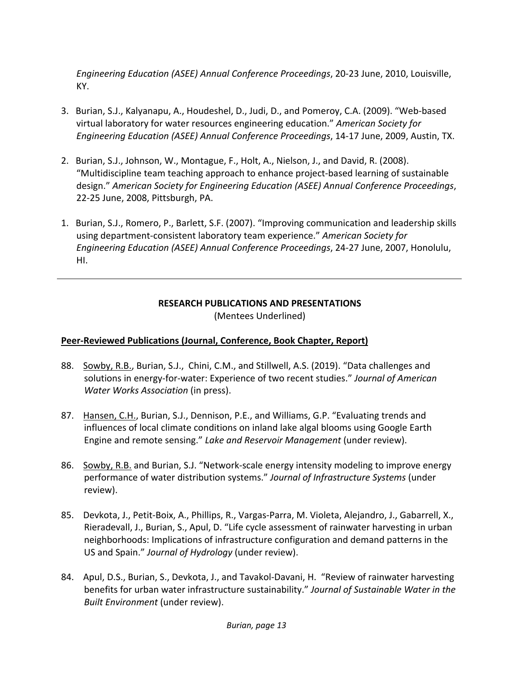*Engineering Education (ASEE) Annual Conference Proceedings*, 20‐23 June, 2010, Louisville, KY.

- 3. Burian, S.J., Kalyanapu, A., Houdeshel, D., Judi, D., and Pomeroy, C.A. (2009). "Web‐based virtual laboratory for water resources engineering education." *American Society for Engineering Education (ASEE) Annual Conference Proceedings*, 14‐17 June, 2009, Austin, TX.
- 2. Burian, S.J., Johnson, W., Montague, F., Holt, A., Nielson, J., and David, R. (2008). "Multidiscipline team teaching approach to enhance project‐based learning of sustainable design." *American Society for Engineering Education (ASEE) Annual Conference Proceedings*, 22‐25 June, 2008, Pittsburgh, PA.
- 1. Burian, S.J., Romero, P., Barlett, S.F. (2007). "Improving communication and leadership skills using department‐consistent laboratory team experience." *American Society for Engineering Education (ASEE) Annual Conference Proceedings*, 24‐27 June, 2007, Honolulu, HI.

### **RESEARCH PUBLICATIONS AND PRESENTATIONS**

(Mentees Underlined)

### **Peer‐Reviewed Publications (Journal, Conference, Book Chapter, Report)**

- 88. Sowby, R.B., Burian, S.J., Chini, C.M., and Stillwell, A.S. (2019). "Data challenges and solutions in energy‐for‐water: Experience of two recent studies." *Journal of American Water Works Association* (in press).
- 87. Hansen, C.H., Burian, S.J., Dennison, P.E., and Williams, G.P. "Evaluating trends and influences of local climate conditions on inland lake algal blooms using Google Earth Engine and remote sensing." *Lake and Reservoir Management* (under review).
- 86. Sowby, R.B. and Burian, S.J. "Network-scale energy intensity modeling to improve energy performance of water distribution systems." *Journal of Infrastructure Systems* (under review).
- 85. Devkota, J., Petit-Boix, A., Phillips, R., Vargas-Parra, M. Violeta, Alejandro, J., Gabarrell, X., Rieradevall, J., Burian, S., Apul, D. "Life cycle assessment of rainwater harvesting in urban neighborhoods: Implications of infrastructure configuration and demand patterns in the US and Spain." *Journal of Hydrology* (under review).
- 84. Apul, D.S., Burian, S., Devkota, J., and Tavakol-Davani, H. "Review of rainwater harvesting benefits for urban water infrastructure sustainability." *Journal of Sustainable Water in the Built Environment* (under review).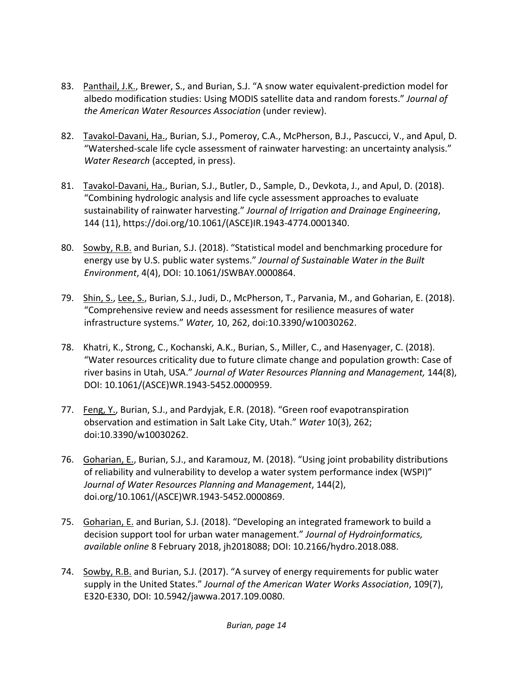- 83. Panthail, J.K., Brewer, S., and Burian, S.J. "A snow water equivalent-prediction model for albedo modification studies: Using MODIS satellite data and random forests." *Journal of the American Water Resources Association* (under review).
- 82. Tavakol-Davani, Ha., Burian, S.J., Pomeroy, C.A., McPherson, B.J., Pascucci, V., and Apul, D. "Watershed‐scale life cycle assessment of rainwater harvesting: an uncertainty analysis." *Water Research* (accepted, in press).
- 81. Tavakol-Davani, Ha., Burian, S.J., Butler, D., Sample, D., Devkota, J., and Apul, D. (2018). "Combining hydrologic analysis and life cycle assessment approaches to evaluate sustainability of rainwater harvesting." *Journal of Irrigation and Drainage Engineering*, 144 (11), https://doi.org/10.1061/(ASCE)IR.1943‐4774.0001340.
- 80. Sowby, R.B. and Burian, S.J. (2018). "Statistical model and benchmarking procedure for energy use by U.S. public water systems." *Journal of Sustainable Water in the Built Environment*, 4(4), DOI: 10.1061/JSWBAY.0000864.
- 79. Shin, S., Lee, S., Burian, S.J., Judi, D., McPherson, T., Parvania, M., and Goharian, E. (2018). "Comprehensive review and needs assessment for resilience measures of water infrastructure systems." *Water,* 10, 262, doi:10.3390/w10030262.
- 78. Khatri, K., Strong, C., Kochanski, A.K., Burian, S., Miller, C., and Hasenyager, C. (2018). "Water resources criticality due to future climate change and population growth: Case of river basins in Utah, USA." *Journal of Water Resources Planning and Management,* 144(8), DOI: 10.1061/(ASCE)WR.1943‐5452.0000959.
- 77. Feng, Y., Burian, S.J., and Pardyjak, E.R. (2018). "Green roof evapotranspiration observation and estimation in Salt Lake City, Utah." *Water* 10(3), 262; doi:10.3390/w10030262.
- 76. Goharian, E., Burian, S.J., and Karamouz, M. (2018). "Using joint probability distributions of reliability and vulnerability to develop a water system performance index (WSPI)" *Journal of Water Resources Planning and Management*, 144(2), doi.org/10.1061/(ASCE)WR.1943‐5452.0000869.
- 75. Goharian, E. and Burian, S.J. (2018). "Developing an integrated framework to build a decision support tool for urban water management." *Journal of Hydroinformatics, available online* 8 February 2018, jh2018088; DOI: 10.2166/hydro.2018.088.
- 74. Sowby, R.B. and Burian, S.J. (2017). "A survey of energy requirements for public water supply in the United States." *Journal of the American Water Works Association*, 109(7), E320‐E330, DOI: 10.5942/jawwa.2017.109.0080.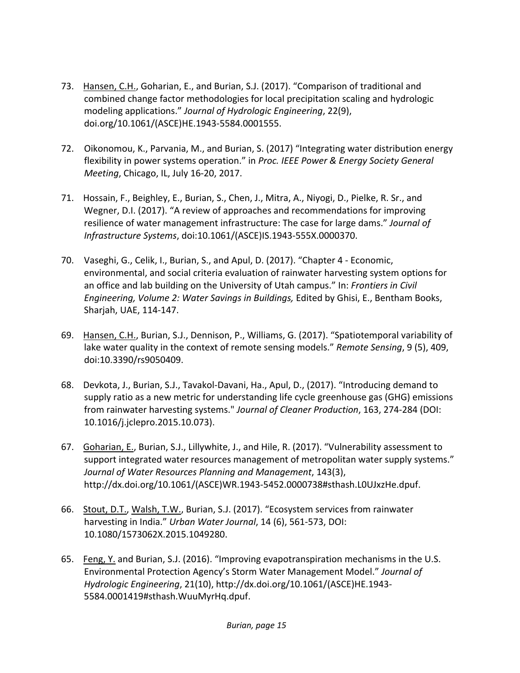- 73. Hansen, C.H., Goharian, E., and Burian, S.J. (2017). "Comparison of traditional and combined change factor methodologies for local precipitation scaling and hydrologic modeling applications." *Journal of Hydrologic Engineering*, 22(9), doi.org/10.1061/(ASCE)HE.1943‐5584.0001555.
- 72. Oikonomou, K., Parvania, M., and Burian, S. (2017) "Integrating water distribution energy flexibility in power systems operation." in *Proc. IEEE Power & Energy Society General Meeting*, Chicago, IL, July 16‐20, 2017.
- 71. Hossain, F., Beighley, E., Burian, S., Chen, J., Mitra, A., Niyogi, D., Pielke, R. Sr., and Wegner, D.I. (2017). "A review of approaches and recommendations for improving resilience of water management infrastructure: The case for large dams." *Journal of Infrastructure Systems*, doi:10.1061/(ASCE)IS.1943‐555X.0000370.
- 70. Vaseghi, G., Celik, I., Burian, S., and Apul, D. (2017). "Chapter 4 ‐ Economic, environmental, and social criteria evaluation of rainwater harvesting system options for an office and lab building on the University of Utah campus." In: *Frontiers in Civil Engineering, Volume 2: Water Savings in Buildings,* Edited by Ghisi, E., Bentham Books, Sharjah, UAE, 114‐147.
- 69. Hansen, C.H., Burian, S.J., Dennison, P., Williams, G. (2017). "Spatiotemporal variability of lake water quality in the context of remote sensing models." *Remote Sensing*, 9 (5), 409, doi:10.3390/rs9050409.
- 68. Devkota, J., Burian, S.J., Tavakol‐Davani, Ha., Apul, D., (2017). "Introducing demand to supply ratio as a new metric for understanding life cycle greenhouse gas (GHG) emissions from rainwater harvesting systems." *Journal of Cleaner Production*, 163, 274‐284 (DOI: 10.1016/j.jclepro.2015.10.073).
- 67. Goharian, E., Burian, S.J., Lillywhite, J., and Hile, R. (2017). "Vulnerability assessment to support integrated water resources management of metropolitan water supply systems." *Journal of Water Resources Planning and Management*, 143(3), http://dx.doi.org/10.1061/(ASCE)WR.1943‐5452.0000738#sthash.L0UJxzHe.dpuf.
- 66. Stout, D.T., Walsh, T.W., Burian, S.J. (2017). "Ecosystem services from rainwater harvesting in India." *Urban Water Journal*, 14 (6), 561‐573, DOI: 10.1080/1573062X.2015.1049280.
- 65. Feng, Y. and Burian, S.J. (2016). "Improving evapotranspiration mechanisms in the U.S. Environmental Protection Agency's Storm Water Management Model." *Journal of Hydrologic Engineering*, 21(10), http://dx.doi.org/10.1061/(ASCE)HE.1943‐ 5584.0001419#sthash.WuuMyrHq.dpuf.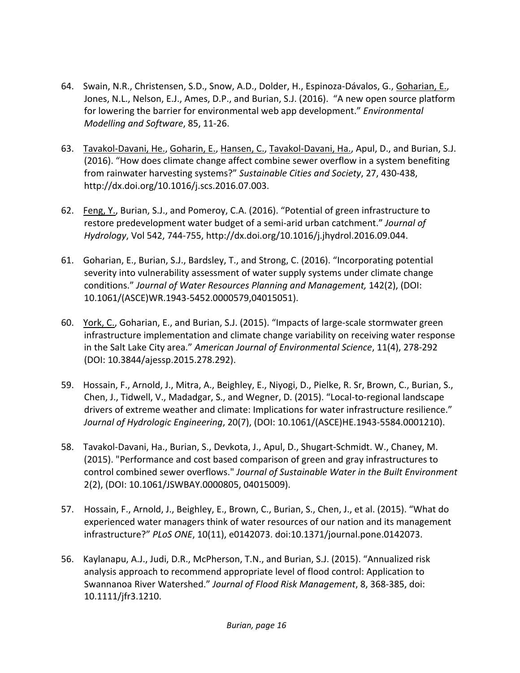- 64. Swain, N.R., Christensen, S.D., Snow, A.D., Dolder, H., Espinoza‐Dávalos, G., Goharian, E., Jones, N.L., Nelson, E.J., Ames, D.P., and Burian, S.J. (2016). "A new open source platform for lowering the barrier for environmental web app development." *Environmental Modelling and Software*, 85, 11‐26.
- 63. Tavakol-Davani, He., Goharin, E., Hansen, C., Tavakol-Davani, Ha., Apul, D., and Burian, S.J. (2016). "How does climate change affect combine sewer overflow in a system benefiting from rainwater harvesting systems?" *Sustainable Cities and Society*, 27, 430‐438, http://dx.doi.org/10.1016/j.scs.2016.07.003.
- 62. Feng, Y., Burian, S.J., and Pomeroy, C.A. (2016). "Potential of green infrastructure to restore predevelopment water budget of a semi‐arid urban catchment." *Journal of Hydrology*, Vol 542, 744‐755, http://dx.doi.org/10.1016/j.jhydrol.2016.09.044.
- 61. Goharian, E., Burian, S.J., Bardsley, T., and Strong, C. (2016). "Incorporating potential severity into vulnerability assessment of water supply systems under climate change conditions." *Journal of Water Resources Planning and Management,* 142(2), (DOI: 10.1061/(ASCE)WR.1943‐5452.0000579,04015051).
- 60. York, C., Goharian, E., and Burian, S.J. (2015). "Impacts of large-scale stormwater green infrastructure implementation and climate change variability on receiving water response in the Salt Lake City area." *American Journal of Environmental Science*, 11(4), 278‐292 (DOI: 10.3844/ajessp.2015.278.292).
- 59. Hossain, F., Arnold, J., Mitra, A., Beighley, E., Niyogi, D., Pielke, R. Sr, Brown, C., Burian, S., Chen, J., Tidwell, V., Madadgar, S., and Wegner, D. (2015). "Local‐to‐regional landscape drivers of extreme weather and climate: Implications for water infrastructure resilience." *Journal of Hydrologic Engineering*, 20(7), (DOI: 10.1061/(ASCE)HE.1943‐5584.0001210).
- 58. Tavakol‐Davani, Ha., Burian, S., Devkota, J., Apul, D., Shugart‐Schmidt. W., Chaney, M. (2015). "Performance and cost based comparison of green and gray infrastructures to control combined sewer overflows." *Journal of Sustainable Water in the Built Environment* 2(2), (DOI: 10.1061/JSWBAY.0000805, 04015009).
- 57. Hossain, F., Arnold, J., Beighley, E., Brown, C., Burian, S., Chen, J., et al. (2015). "What do experienced water managers think of water resources of our nation and its management infrastructure?" *PLoS ONE*, 10(11), e0142073. doi:10.1371/journal.pone.0142073.
- 56. Kaylanapu, A.J., Judi, D.R., McPherson, T.N., and Burian, S.J. (2015). "Annualized risk analysis approach to recommend appropriate level of flood control: Application to Swannanoa River Watershed." *Journal of Flood Risk Management*, 8, 368‐385, doi: 10.1111/jfr3.1210.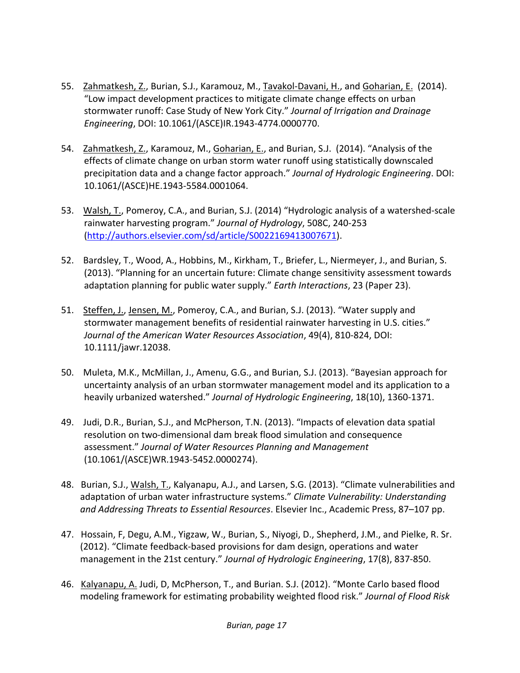- 55. Zahmatkesh, Z., Burian, S.J., Karamouz, M., Tavakol‐Davani, H., and Goharian, E. (2014). "Low impact development practices to mitigate climate change effects on urban stormwater runoff: Case Study of New York City." *Journal of Irrigation and Drainage Engineering*, DOI: 10.1061/(ASCE)IR.1943‐4774.0000770.
- 54. Zahmatkesh, Z., Karamouz, M., Goharian, E., and Burian, S.J. (2014). "Analysis of the effects of climate change on urban storm water runoff using statistically downscaled precipitation data and a change factor approach." *Journal of Hydrologic Engineering*. DOI: 10.1061/(ASCE)HE.1943‐5584.0001064.
- 53. Walsh, T., Pomeroy, C.A., and Burian, S.J. (2014) "Hydrologic analysis of a watershed‐scale rainwater harvesting program." *Journal of Hydrology*, 508C, 240‐253 (http://authors.elsevier.com/sd/article/S0022169413007671).
- 52. Bardsley, T., Wood, A., Hobbins, M., Kirkham, T., Briefer, L., Niermeyer, J., and Burian, S. (2013). "Planning for an uncertain future: Climate change sensitivity assessment towards adaptation planning for public water supply." *Earth Interactions*, 23 (Paper 23).
- 51. Steffen, J., Jensen, M., Pomeroy, C.A., and Burian, S.J. (2013). "Water supply and stormwater management benefits of residential rainwater harvesting in U.S. cities." *Journal of the American Water Resources Association*, 49(4), 810‐824, DOI: 10.1111/jawr.12038.
- 50. Muleta, M.K., McMillan, J., Amenu, G.G., and Burian, S.J. (2013). "Bayesian approach for uncertainty analysis of an urban stormwater management model and its application to a heavily urbanized watershed." *Journal of Hydrologic Engineering*, 18(10), 1360‐1371.
- 49. Judi, D.R., Burian, S.J., and McPherson, T.N. (2013). "Impacts of elevation data spatial resolution on two‐dimensional dam break flood simulation and consequence assessment." *Journal of Water Resources Planning and Management* (10.1061/(ASCE)WR.1943‐5452.0000274).
- 48. Burian, S.J., Walsh, T., Kalyanapu, A.J., and Larsen, S.G. (2013). "Climate vulnerabilities and adaptation of urban water infrastructure systems." *Climate Vulnerability: Understanding and Addressing Threats to Essential Resources*. Elsevier Inc., Academic Press, 87–107 pp.
- 47. Hossain, F, Degu, A.M., Yigzaw, W., Burian, S., Niyogi, D., Shepherd, J.M., and Pielke, R. Sr. (2012). "Climate feedback‐based provisions for dam design, operations and water management in the 21st century." *Journal of Hydrologic Engineering*, 17(8), 837‐850.
- 46. Kalyanapu, A. Judi, D, McPherson, T., and Burian. S.J. (2012). "Monte Carlo based flood modeling framework for estimating probability weighted flood risk." *Journal of Flood Risk*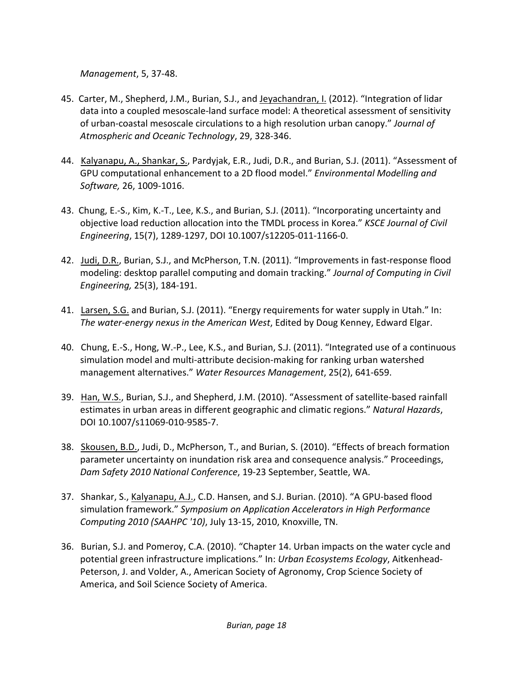*Management*, 5, 37‐48.

- 45. Carter, M., Shepherd, J.M., Burian, S.J., and Jeyachandran, I. (2012). "Integration of lidar data into a coupled mesoscale‐land surface model: A theoretical assessment of sensitivity of urban‐coastal mesoscale circulations to a high resolution urban canopy." *Journal of Atmospheric and Oceanic Technology*, 29, 328‐346.
- 44. Kalyanapu, A., Shankar, S., Pardyjak, E.R., Judi, D.R., and Burian, S.J. (2011). "Assessment of GPU computational enhancement to a 2D flood model." *Environmental Modelling and Software,* 26, 1009‐1016.
- 43. Chung, E.‐S., Kim, K.‐T., Lee, K.S., and Burian, S.J. (2011). "Incorporating uncertainty and objective load reduction allocation into the TMDL process in Korea." *KSCE Journal of Civil Engineering*, 15(7), 1289‐1297, DOI 10.1007/s12205‐011‐1166‐0.
- 42. Judi, D.R., Burian, S.J., and McPherson, T.N. (2011). "Improvements in fast-response flood modeling: desktop parallel computing and domain tracking." *Journal of Computing in Civil Engineering,* 25(3), 184‐191.
- 41. Larsen, S.G. and Burian, S.J. (2011). "Energy requirements for water supply in Utah." In: *The water‐energy nexus in the American West*, Edited by Doug Kenney, Edward Elgar.
- 40. Chung, E.‐S., Hong, W.‐P., Lee, K.S., and Burian, S.J. (2011). "Integrated use of a continuous simulation model and multi‐attribute decision‐making for ranking urban watershed management alternatives." *Water Resources Management*, 25(2), 641‐659.
- 39. Han, W.S., Burian, S.J., and Shepherd, J.M. (2010). "Assessment of satellite-based rainfall estimates in urban areas in different geographic and climatic regions." *Natural Hazards*, DOI 10.1007/s11069‐010‐9585‐7.
- 38. Skousen, B.D., Judi, D., McPherson, T., and Burian, S. (2010). "Effects of breach formation parameter uncertainty on inundation risk area and consequence analysis." Proceedings, *Dam Safety 2010 National Conference*, 19‐23 September, Seattle, WA.
- 37. Shankar, S., Kalyanapu, A.J., C.D. Hansen, and S.J. Burian. (2010). "A GPU‐based flood simulation framework." *Symposium on Application Accelerators in High Performance Computing 2010 (SAAHPC '10)*, July 13‐15, 2010, Knoxville, TN.
- 36. Burian, S.J. and Pomeroy, C.A. (2010). "Chapter 14. Urban impacts on the water cycle and potential green infrastructure implications." In: *Urban Ecosystems Ecology*, Aitkenhead‐ Peterson, J. and Volder, A., American Society of Agronomy, Crop Science Society of America, and Soil Science Society of America.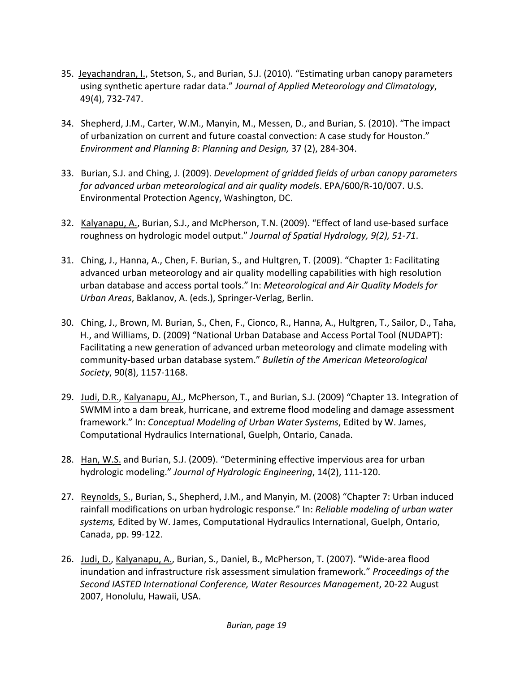- 35. Jeyachandran, I., Stetson, S., and Burian, S.J. (2010). "Estimating urban canopy parameters using synthetic aperture radar data." *Journal of Applied Meteorology and Climatology*, 49(4), 732‐747.
- 34. Shepherd, J.M., Carter, W.M., Manyin, M., Messen, D., and Burian, S. (2010). "The impact of urbanization on current and future coastal convection: A case study for Houston." *Environment and Planning B: Planning and Design,* 37 (2), 284‐304.
- 33. Burian, S.J. and Ching, J. (2009). *Development of gridded fields of urban canopy parameters for advanced urban meteorological and air quality models*. EPA/600/R‐10/007. U.S. Environmental Protection Agency, Washington, DC.
- 32. Kalyanapu, A., Burian, S.J., and McPherson, T.N. (2009). "Effect of land use-based surface roughness on hydrologic model output." *Journal of Spatial Hydrology, 9(2), 51‐71*.
- 31. Ching, J., Hanna, A., Chen, F. Burian, S., and Hultgren, T. (2009). "Chapter 1: Facilitating advanced urban meteorology and air quality modelling capabilities with high resolution urban database and access portal tools." In: *Meteorological and Air Quality Models for Urban Areas*, Baklanov, A. (eds.), Springer‐Verlag, Berlin.
- 30. Ching, J., Brown, M. Burian, S., Chen, F., Cionco, R., Hanna, A., Hultgren, T., Sailor, D., Taha, H., and Williams, D. (2009) "National Urban Database and Access Portal Tool (NUDAPT): Facilitating a new generation of advanced urban meteorology and climate modeling with community‐based urban database system." *Bulletin of the American Meteorological Society*, 90(8), 1157‐1168.
- 29. Judi, D.R., Kalyanapu, AJ., McPherson, T., and Burian, S.J. (2009) "Chapter 13. Integration of SWMM into a dam break, hurricane, and extreme flood modeling and damage assessment framework." In: *Conceptual Modeling of Urban Water Systems*, Edited by W. James, Computational Hydraulics International, Guelph, Ontario, Canada.
- 28. Han, W.S. and Burian, S.J. (2009). "Determining effective impervious area for urban hydrologic modeling." *Journal of Hydrologic Engineering*, 14(2), 111‐120.
- 27. Reynolds, S., Burian, S., Shepherd, J.M., and Manyin, M. (2008) "Chapter 7: Urban induced rainfall modifications on urban hydrologic response." In: *Reliable modeling of urban water systems,* Edited by W. James, Computational Hydraulics International, Guelph, Ontario, Canada, pp. 99‐122.
- 26. Judi, D., Kalyanapu, A., Burian, S., Daniel, B., McPherson, T. (2007). "Wide‐area flood inundation and infrastructure risk assessment simulation framework." *Proceedings of the Second IASTED International Conference, Water Resources Management*, 20‐22 August 2007, Honolulu, Hawaii, USA.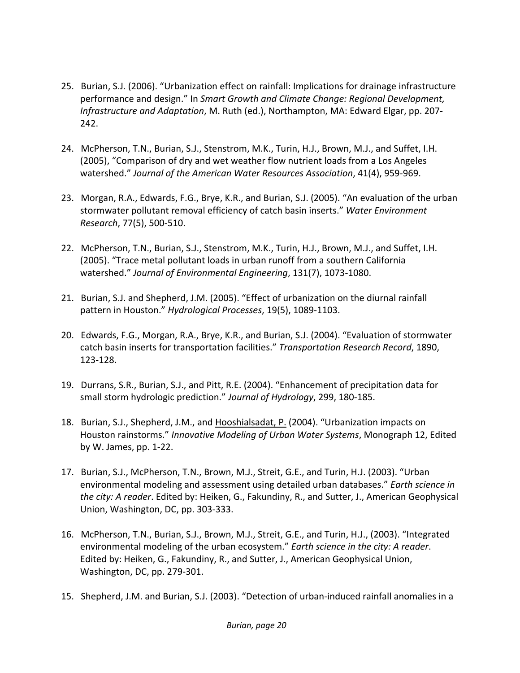- 25. Burian, S.J. (2006). "Urbanization effect on rainfall: Implications for drainage infrastructure performance and design." In *Smart Growth and Climate Change: Regional Development, Infrastructure and Adaptation*, M. Ruth (ed.), Northampton, MA: Edward Elgar, pp. 207‐ 242.
- 24. McPherson, T.N., Burian, S.J., Stenstrom, M.K., Turin, H.J., Brown, M.J., and Suffet, I.H. (2005), "Comparison of dry and wet weather flow nutrient loads from a Los Angeles watershed." *Journal of the American Water Resources Association*, 41(4), 959‐969.
- 23. Morgan, R.A., Edwards, F.G., Brye, K.R., and Burian, S.J. (2005). "An evaluation of the urban stormwater pollutant removal efficiency of catch basin inserts." *Water Environment Research*, 77(5), 500‐510.
- 22. McPherson, T.N., Burian, S.J., Stenstrom, M.K., Turin, H.J., Brown, M.J., and Suffet, I.H. (2005). "Trace metal pollutant loads in urban runoff from a southern California watershed." *Journal of Environmental Engineering*, 131(7), 1073‐1080.
- 21. Burian, S.J. and Shepherd, J.M. (2005). "Effect of urbanization on the diurnal rainfall pattern in Houston." *Hydrological Processes*, 19(5), 1089‐1103.
- 20. Edwards, F.G., Morgan, R.A., Brye, K.R., and Burian, S.J. (2004). "Evaluation of stormwater catch basin inserts for transportation facilities." *Transportation Research Record*, 1890, 123‐128.
- 19. Durrans, S.R., Burian, S.J., and Pitt, R.E. (2004). "Enhancement of precipitation data for small storm hydrologic prediction." *Journal of Hydrology*, 299, 180‐185.
- 18. Burian, S.J., Shepherd, J.M., and Hooshialsadat, P. (2004). "Urbanization impacts on Houston rainstorms." *Innovative Modeling of Urban Water Systems*, Monograph 12, Edited by W. James, pp. 1‐22.
- 17. Burian, S.J., McPherson, T.N., Brown, M.J., Streit, G.E., and Turin, H.J. (2003). "Urban environmental modeling and assessment using detailed urban databases." *Earth science in the city: A reader*. Edited by: Heiken, G., Fakundiny, R., and Sutter, J., American Geophysical Union, Washington, DC, pp. 303‐333.
- 16. McPherson, T.N., Burian, S.J., Brown, M.J., Streit, G.E., and Turin, H.J., (2003). "Integrated environmental modeling of the urban ecosystem." *Earth science in the city: A reader*. Edited by: Heiken, G., Fakundiny, R., and Sutter, J., American Geophysical Union, Washington, DC, pp. 279‐301.
- 15. Shepherd, J.M. and Burian, S.J. (2003). "Detection of urban-induced rainfall anomalies in a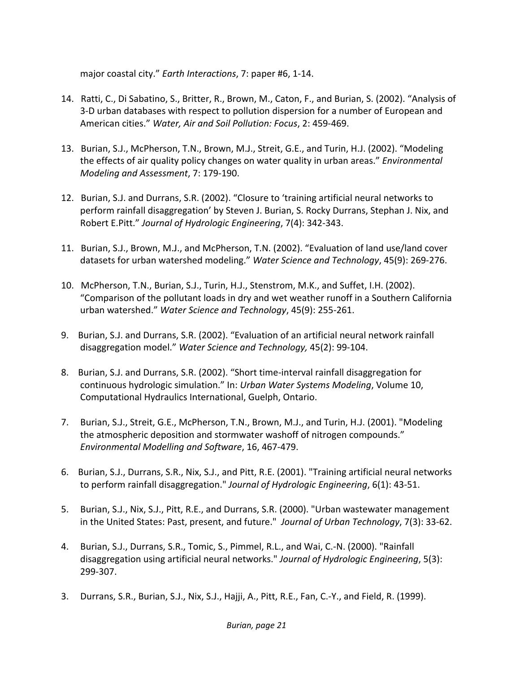major coastal city." *Earth Interactions*, 7: paper #6, 1‐14.

- 14. Ratti, C., Di Sabatino, S., Britter, R., Brown, M., Caton, F., and Burian, S. (2002). "Analysis of 3‐D urban databases with respect to pollution dispersion for a number of European and American cities." *Water, Air and Soil Pollution: Focus*, 2: 459‐469.
- 13. Burian, S.J., McPherson, T.N., Brown, M.J., Streit, G.E., and Turin, H.J. (2002). "Modeling the effects of air quality policy changes on water quality in urban areas." *Environmental Modeling and Assessment*, 7: 179‐190.
- 12. Burian, S.J. and Durrans, S.R. (2002). "Closure to 'training artificial neural networks to perform rainfall disaggregation' by Steven J. Burian, S. Rocky Durrans, Stephan J. Nix, and Robert E.Pitt." *Journal of Hydrologic Engineering*, 7(4): 342‐343.
- 11. Burian, S.J., Brown, M.J., and McPherson, T.N. (2002). "Evaluation of land use/land cover datasets for urban watershed modeling." *Water Science and Technology*, 45(9): 269‐276.
- 10. McPherson, T.N., Burian, S.J., Turin, H.J., Stenstrom, M.K., and Suffet, I.H. (2002). "Comparison of the pollutant loads in dry and wet weather runoff in a Southern California urban watershed." *Water Science and Technology*, 45(9): 255‐261.
- 9. Burian, S.J. and Durrans, S.R. (2002). "Evaluation of an artificial neural network rainfall disaggregation model." *Water Science and Technology,* 45(2): 99‐104.
- 8. Burian, S.J. and Durrans, S.R. (2002). "Short time-interval rainfall disaggregation for continuous hydrologic simulation." In: *Urban Water Systems Modeling*, Volume 10, Computational Hydraulics International, Guelph, Ontario.
- 7. Burian, S.J., Streit, G.E., McPherson, T.N., Brown, M.J., and Turin, H.J. (2001). "Modeling the atmospheric deposition and stormwater washoff of nitrogen compounds." *Environmental Modelling and Software*, 16, 467‐479.
- 6. Burian, S.J., Durrans, S.R., Nix, S.J., and Pitt, R.E. (2001). "Training artificial neural networks to perform rainfall disaggregation." *Journal of Hydrologic Engineering*, 6(1): 43‐51.
- 5. Burian, S.J., Nix, S.J., Pitt, R.E., and Durrans, S.R. (2000). "Urban wastewater management in the United States: Past, present, and future." *Journal of Urban Technology*, 7(3): 33‐62.
- 4. Burian, S.J., Durrans, S.R., Tomic, S., Pimmel, R.L., and Wai, C.-N. (2000). "Rainfall disaggregation using artificial neural networks." *Journal of Hydrologic Engineering*, 5(3): 299‐307.
- 3. Durrans, S.R., Burian, S.J., Nix, S.J., Hajji, A., Pitt, R.E., Fan, C.‐Y., and Field, R. (1999).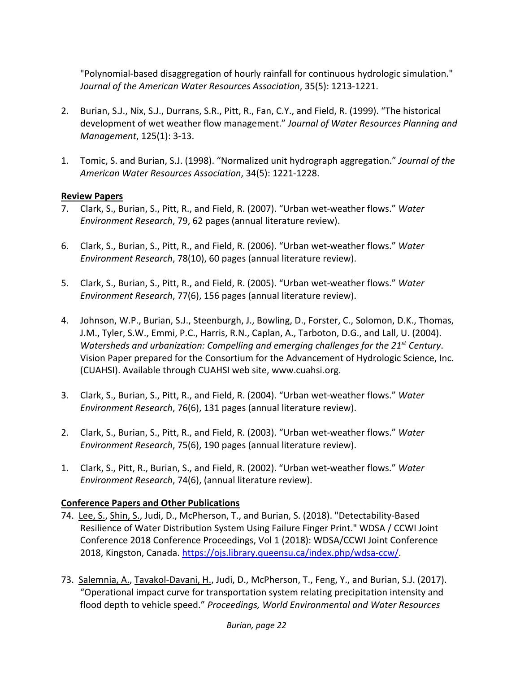"Polynomial‐based disaggregation of hourly rainfall for continuous hydrologic simulation." *Journal of the American Water Resources Association*, 35(5): 1213‐1221.

- 2. Burian, S.J., Nix, S.J., Durrans, S.R., Pitt, R., Fan, C.Y., and Field, R. (1999). "The historical development of wet weather flow management." *Journal of Water Resources Planning and Management*, 125(1): 3‐13.
- 1. Tomic, S. and Burian, S.J. (1998). "Normalized unit hydrograph aggregation." *Journal of the American Water Resources Association*, 34(5): 1221‐1228.

### **Review Papers**

- 7. Clark, S., Burian, S., Pitt, R., and Field, R. (2007). "Urban wet‐weather flows." *Water Environment Research*, 79, 62 pages (annual literature review).
- 6. Clark, S., Burian, S., Pitt, R., and Field, R. (2006). "Urban wet‐weather flows." *Water Environment Research*, 78(10), 60 pages (annual literature review).
- 5. Clark, S., Burian, S., Pitt, R., and Field, R. (2005). "Urban wet‐weather flows." *Water Environment Research*, 77(6), 156 pages (annual literature review).
- 4. Johnson, W.P., Burian, S.J., Steenburgh, J., Bowling, D., Forster, C., Solomon, D.K., Thomas, J.M., Tyler, S.W., Emmi, P.C., Harris, R.N., Caplan, A., Tarboton, D.G., and Lall, U. (2004). *Watersheds and urbanization: Compelling and emerging challenges for the 21st Century*. Vision Paper prepared for the Consortium for the Advancement of Hydrologic Science, Inc. (CUAHSI). Available through CUAHSI web site, www.cuahsi.org.
- 3. Clark, S., Burian, S., Pitt, R., and Field, R. (2004). "Urban wet‐weather flows." *Water Environment Research*, 76(6), 131 pages (annual literature review).
- 2. Clark, S., Burian, S., Pitt, R., and Field, R. (2003). "Urban wet‐weather flows." *Water Environment Research*, 75(6), 190 pages (annual literature review).
- 1. Clark, S., Pitt, R., Burian, S., and Field, R. (2002). "Urban wet‐weather flows." *Water Environment Research*, 74(6), (annual literature review).

# **Conference Papers and Other Publications**

- 74. Lee, S., Shin, S., Judi, D., McPherson, T., and Burian, S. (2018). "Detectability‐Based Resilience of Water Distribution System Using Failure Finger Print." WDSA / CCWI Joint Conference 2018 Conference Proceedings, Vol 1 (2018): WDSA/CCWI Joint Conference 2018, Kingston, Canada. https://ojs.library.queensu.ca/index.php/wdsa‐ccw/.
- 73. Salemnia, A., Tavakol‐Davani, H., Judi, D., McPherson, T., Feng, Y., and Burian, S.J. (2017). "Operational impact curve for transportation system relating precipitation intensity and flood depth to vehicle speed." *Proceedings, World Environmental and Water Resources*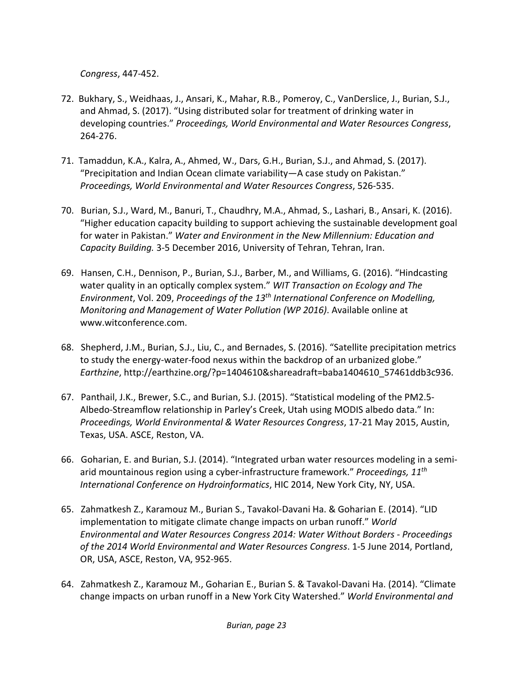*Congress*, 447‐452.

- 72. Bukhary, S., Weidhaas, J., Ansari, K., Mahar, R.B., Pomeroy, C., VanDerslice, J., Burian, S.J., and Ahmad, S. (2017). "Using distributed solar for treatment of drinking water in developing countries." *Proceedings, World Environmental and Water Resources Congress*, 264‐276.
- 71. Tamaddun, K.A., Kalra, A., Ahmed, W., Dars, G.H., Burian, S.J., and Ahmad, S. (2017). "Precipitation and Indian Ocean climate variability—A case study on Pakistan." *Proceedings, World Environmental and Water Resources Congress*, 526‐535.
- 70. Burian, S.J., Ward, M., Banuri, T., Chaudhry, M.A., Ahmad, S., Lashari, B., Ansari, K. (2016). "Higher education capacity building to support achieving the sustainable development goal for water in Pakistan." *Water and Environment in the New Millennium: Education and Capacity Building.* 3‐5 December 2016, University of Tehran, Tehran, Iran.
- 69. Hansen, C.H., Dennison, P., Burian, S.J., Barber, M., and Williams, G. (2016). "Hindcasting water quality in an optically complex system." *WIT Transaction on Ecology and The Environment*, Vol. 209, *Proceedings of the 13th International Conference on Modelling, Monitoring and Management of Water Pollution (WP 2016)*. Available online at www.witconference.com.
- 68. Shepherd, J.M., Burian, S.J., Liu, C., and Bernades, S. (2016). "Satellite precipitation metrics to study the energy-water-food nexus within the backdrop of an urbanized globe." *Earthzine*, http://earthzine.org/?p=1404610&shareadraft=baba1404610\_57461ddb3c936.
- 67. Panthail, J.K., Brewer, S.C., and Burian, S.J. (2015). "Statistical modeling of the PM2.5‐ Albedo‐Streamflow relationship in Parley's Creek, Utah using MODIS albedo data." In: *Proceedings, World Environmental & Water Resources Congress*, 17‐21 May 2015, Austin, Texas, USA. ASCE, Reston, VA.
- 66. Goharian, E. and Burian, S.J. (2014). "Integrated urban water resources modeling in a semi‐ arid mountainous region using a cyber‐infrastructure framework." *Proceedings, 11th International Conference on Hydroinformatics*, HIC 2014, New York City, NY, USA.
- 65. Zahmatkesh Z., Karamouz M., Burian S., Tavakol‐Davani Ha. & Goharian E. (2014). "LID implementation to mitigate climate change impacts on urban runoff." *World Environmental and Water Resources Congress 2014: Water Without Borders ‐ Proceedings of the 2014 World Environmental and Water Resources Congress*. 1‐5 June 2014, Portland, OR, USA, ASCE, Reston, VA, 952‐965.
- 64. Zahmatkesh Z., Karamouz M., Goharian E., Burian S. & Tavakol‐Davani Ha. (2014). "Climate change impacts on urban runoff in a New York City Watershed." *World Environmental and*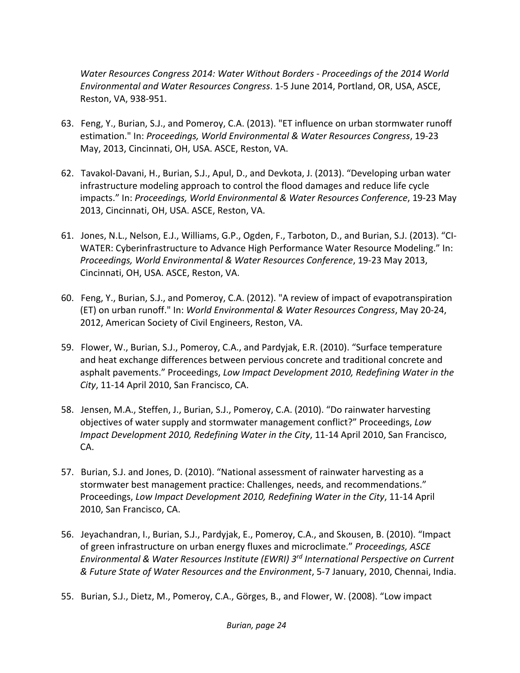*Water Resources Congress 2014: Water Without Borders ‐ Proceedings of the 2014 World Environmental and Water Resources Congress*. 1‐5 June 2014, Portland, OR, USA, ASCE, Reston, VA, 938‐951.

- 63. Feng, Y., Burian, S.J., and Pomeroy, C.A. (2013). "ET influence on urban stormwater runoff estimation." In: *Proceedings, World Environmental & Water Resources Congress*, 19‐23 May, 2013, Cincinnati, OH, USA. ASCE, Reston, VA.
- 62. Tavakol‐Davani, H., Burian, S.J., Apul, D., and Devkota, J. (2013). "Developing urban water infrastructure modeling approach to control the flood damages and reduce life cycle impacts." In: *Proceedings, World Environmental & Water Resources Conference*, 19‐23 May 2013, Cincinnati, OH, USA. ASCE, Reston, VA.
- 61. Jones, N.L., Nelson, E.J., Williams, G.P., Ogden, F., Tarboton, D., and Burian, S.J. (2013). "CI‐ WATER: Cyberinfrastructure to Advance High Performance Water Resource Modeling." In: *Proceedings, World Environmental & Water Resources Conference*, 19‐23 May 2013, Cincinnati, OH, USA. ASCE, Reston, VA.
- 60. Feng, Y., Burian, S.J., and Pomeroy, C.A. (2012). "A review of impact of evapotranspiration (ET) on urban runoff." In: *World Environmental & Water Resources Congress*, May 20‐24, 2012, American Society of Civil Engineers, Reston, VA.
- 59. Flower, W., Burian, S.J., Pomeroy, C.A., and Pardyjak, E.R. (2010). "Surface temperature and heat exchange differences between pervious concrete and traditional concrete and asphalt pavements." Proceedings, *Low Impact Development 2010, Redefining Water in the City*, 11‐14 April 2010, San Francisco, CA.
- 58. Jensen, M.A., Steffen, J., Burian, S.J., Pomeroy, C.A. (2010). "Do rainwater harvesting objectives of water supply and stormwater management conflict?" Proceedings, *Low Impact Development 2010, Redefining Water in the City*, 11‐14 April 2010, San Francisco, CA.
- 57. Burian, S.J. and Jones, D. (2010). "National assessment of rainwater harvesting as a stormwater best management practice: Challenges, needs, and recommendations." Proceedings, *Low Impact Development 2010, Redefining Water in the City*, 11‐14 April 2010, San Francisco, CA.
- 56. Jeyachandran, I., Burian, S.J., Pardyjak, E., Pomeroy, C.A., and Skousen, B. (2010). "Impact of green infrastructure on urban energy fluxes and microclimate." *Proceedings, ASCE Environmental & Water Resources Institute (EWRI) 3rd International Perspective on Current & Future State of Water Resources and the Environment*, 5‐7 January, 2010, Chennai, India.
- 55. Burian, S.J., Dietz, M., Pomeroy, C.A., Görges, B., and Flower, W. (2008). "Low impact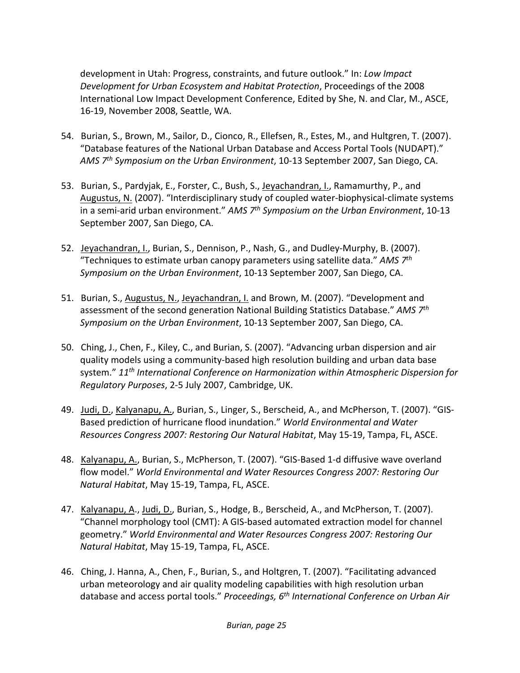development in Utah: Progress, constraints, and future outlook." In: *Low Impact Development for Urban Ecosystem and Habitat Protection*, Proceedings of the 2008 International Low Impact Development Conference, Edited by She, N. and Clar, M., ASCE, 16‐19, November 2008, Seattle, WA.

- 54. Burian, S., Brown, M., Sailor, D., Cionco, R., Ellefsen, R., Estes, M., and Hultgren, T. (2007). "Database features of the National Urban Database and Access Portal Tools (NUDAPT)." *AMS 7th Symposium on the Urban Environment*, 10‐13 September 2007, San Diego, CA.
- 53. Burian, S., Pardyjak, E., Forster, C., Bush, S., Jeyachandran, I., Ramamurthy, P., and Augustus, N. (2007). "Interdisciplinary study of coupled water-biophysical-climate systems in a semi‐arid urban environment." *AMS 7th Symposium on the Urban Environment*, 10‐13 September 2007, San Diego, CA.
- 52. Jeyachandran, I., Burian, S., Dennison, P., Nash, G., and Dudley-Murphy, B. (2007). "Techniques to estimate urban canopy parameters using satellite data." *AMS 7th Symposium on the Urban Environment*, 10‐13 September 2007, San Diego, CA.
- 51. Burian, S., Augustus, N., Jeyachandran, I. and Brown, M. (2007). "Development and assessment of the second generation National Building Statistics Database." *AMS 7th Symposium on the Urban Environment*, 10‐13 September 2007, San Diego, CA.
- 50. Ching, J., Chen, F., Kiley, C., and Burian, S. (2007). "Advancing urban dispersion and air quality models using a community‐based high resolution building and urban data base system." *11th International Conference on Harmonization within Atmospheric Dispersion for Regulatory Purposes*, 2‐5 July 2007, Cambridge, UK.
- 49. Judi, D., Kalyanapu, A., Burian, S., Linger, S., Berscheid, A., and McPherson, T. (2007). "GIS‐ Based prediction of hurricane flood inundation." *World Environmental and Water Resources Congress 2007: Restoring Our Natural Habitat*, May 15‐19, Tampa, FL, ASCE.
- 48. Kalyanapu, A., Burian, S., McPherson, T. (2007). "GIS‐Based 1‐d diffusive wave overland flow model." *World Environmental and Water Resources Congress 2007: Restoring Our Natural Habitat*, May 15‐19, Tampa, FL, ASCE.
- 47. Kalyanapu, A., Judi, D., Burian, S., Hodge, B., Berscheid, A., and McPherson, T. (2007). "Channel morphology tool (CMT): A GIS‐based automated extraction model for channel geometry." *World Environmental and Water Resources Congress 2007: Restoring Our Natural Habitat*, May 15‐19, Tampa, FL, ASCE.
- 46. Ching, J. Hanna, A., Chen, F., Burian, S., and Holtgren, T. (2007). "Facilitating advanced urban meteorology and air quality modeling capabilities with high resolution urban database and access portal tools." *Proceedings, 6th International Conference on Urban Air*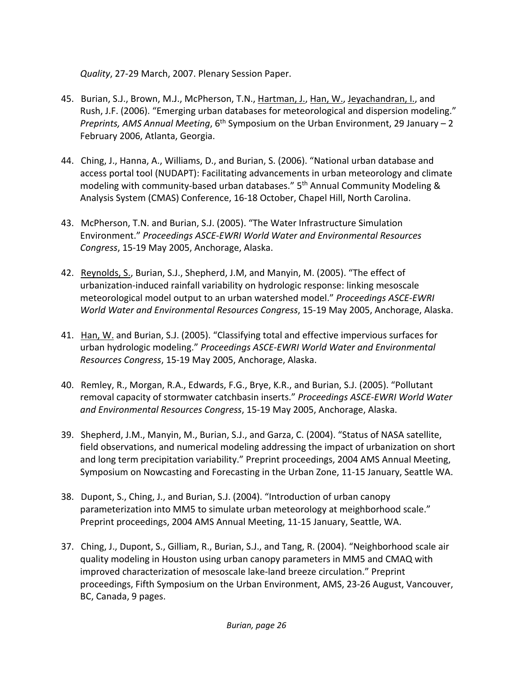*Quality*, 27‐29 March, 2007. Plenary Session Paper.

- 45. Burian, S.J., Brown, M.J., McPherson, T.N., Hartman, J., Han, W., Jeyachandran, I., and Rush, J.F. (2006). "Emerging urban databases for meteorological and dispersion modeling." *Preprints, AMS Annual Meeting*, 6th Symposium on the Urban Environment, 29 January – 2 February 2006, Atlanta, Georgia.
- 44. Ching, J., Hanna, A., Williams, D., and Burian, S. (2006). "National urban database and access portal tool (NUDAPT): Facilitating advancements in urban meteorology and climate modeling with community-based urban databases." 5<sup>th</sup> Annual Community Modeling & Analysis System (CMAS) Conference, 16‐18 October, Chapel Hill, North Carolina.
- 43. McPherson, T.N. and Burian, S.J. (2005). "The Water Infrastructure Simulation Environment." *Proceedings ASCE‐EWRI World Water and Environmental Resources Congress*, 15‐19 May 2005, Anchorage, Alaska.
- 42. Reynolds, S., Burian, S.J., Shepherd, J.M, and Manyin, M. (2005). "The effect of urbanization‐induced rainfall variability on hydrologic response: linking mesoscale meteorological model output to an urban watershed model." *Proceedings ASCE‐EWRI World Water and Environmental Resources Congress*, 15‐19 May 2005, Anchorage, Alaska.
- 41. Han, W. and Burian, S.J. (2005). "Classifying total and effective impervious surfaces for urban hydrologic modeling." *Proceedings ASCE‐EWRI World Water and Environmental Resources Congress*, 15‐19 May 2005, Anchorage, Alaska.
- 40. Remley, R., Morgan, R.A., Edwards, F.G., Brye, K.R., and Burian, S.J. (2005). "Pollutant removal capacity of stormwater catchbasin inserts." *Proceedings ASCE‐EWRI World Water and Environmental Resources Congress*, 15‐19 May 2005, Anchorage, Alaska.
- 39. Shepherd, J.M., Manyin, M., Burian, S.J., and Garza, C. (2004). "Status of NASA satellite, field observations, and numerical modeling addressing the impact of urbanization on short and long term precipitation variability." Preprint proceedings, 2004 AMS Annual Meeting, Symposium on Nowcasting and Forecasting in the Urban Zone, 11‐15 January, Seattle WA.
- 38. Dupont, S., Ching, J., and Burian, S.J. (2004). "Introduction of urban canopy parameterization into MM5 to simulate urban meteorology at meighborhood scale." Preprint proceedings, 2004 AMS Annual Meeting, 11‐15 January, Seattle, WA.
- 37. Ching, J., Dupont, S., Gilliam, R., Burian, S.J., and Tang, R. (2004). "Neighborhood scale air quality modeling in Houston using urban canopy parameters in MM5 and CMAQ with improved characterization of mesoscale lake‐land breeze circulation." Preprint proceedings, Fifth Symposium on the Urban Environment, AMS, 23‐26 August, Vancouver, BC, Canada, 9 pages.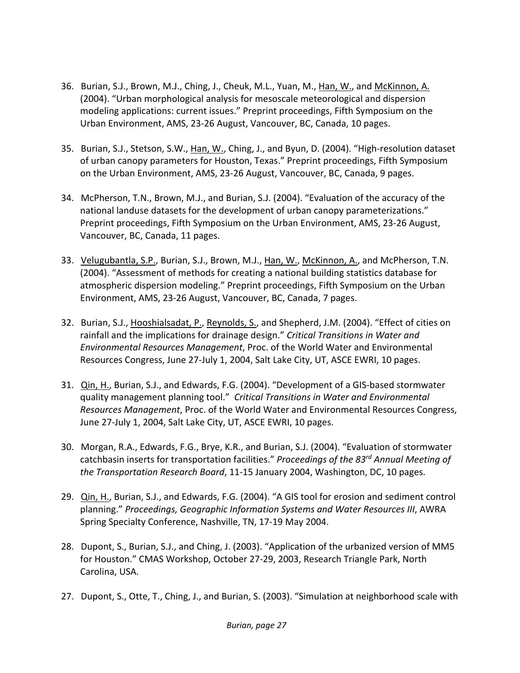- 36. Burian, S.J., Brown, M.J., Ching, J., Cheuk, M.L., Yuan, M., Han, W., and McKinnon, A. (2004). "Urban morphological analysis for mesoscale meteorological and dispersion modeling applications: current issues." Preprint proceedings, Fifth Symposium on the Urban Environment, AMS, 23‐26 August, Vancouver, BC, Canada, 10 pages.
- 35. Burian, S.J., Stetson, S.W., Han, W., Ching, J., and Byun, D. (2004). "High-resolution dataset of urban canopy parameters for Houston, Texas." Preprint proceedings, Fifth Symposium on the Urban Environment, AMS, 23‐26 August, Vancouver, BC, Canada, 9 pages.
- 34. McPherson, T.N., Brown, M.J., and Burian, S.J. (2004). "Evaluation of the accuracy of the national landuse datasets for the development of urban canopy parameterizations." Preprint proceedings, Fifth Symposium on the Urban Environment, AMS, 23‐26 August, Vancouver, BC, Canada, 11 pages.
- 33. Velugubantla, S.P., Burian, S.J., Brown, M.J., Han, W., McKinnon, A., and McPherson, T.N. (2004). "Assessment of methods for creating a national building statistics database for atmospheric dispersion modeling." Preprint proceedings, Fifth Symposium on the Urban Environment, AMS, 23‐26 August, Vancouver, BC, Canada, 7 pages.
- 32. Burian, S.J., Hooshialsadat, P., Reynolds, S., and Shepherd, J.M. (2004). "Effect of cities on rainfall and the implications for drainage design." *Critical Transitions in Water and Environmental Resources Management*, Proc. of the World Water and Environmental Resources Congress, June 27‐July 1, 2004, Salt Lake City, UT, ASCE EWRI, 10 pages.
- 31. Qin, H., Burian, S.J., and Edwards, F.G. (2004). "Development of a GIS-based stormwater quality management planning tool." *Critical Transitions in Water and Environmental Resources Management*, Proc. of the World Water and Environmental Resources Congress, June 27‐July 1, 2004, Salt Lake City, UT, ASCE EWRI, 10 pages.
- 30. Morgan, R.A., Edwards, F.G., Brye, K.R., and Burian, S.J. (2004). "Evaluation of stormwater catchbasin inserts for transportation facilities." *Proceedings of the 83rd Annual Meeting of the Transportation Research Board*, 11‐15 January 2004, Washington, DC, 10 pages.
- 29. Qin, H., Burian, S.J., and Edwards, F.G. (2004). "A GIS tool for erosion and sediment control planning." *Proceedings, Geographic Information Systems and Water Resources III*, AWRA Spring Specialty Conference, Nashville, TN, 17‐19 May 2004.
- 28. Dupont, S., Burian, S.J., and Ching, J. (2003). "Application of the urbanized version of MM5 for Houston." CMAS Workshop, October 27‐29, 2003, Research Triangle Park, North Carolina, USA.
- 27. Dupont, S., Otte, T., Ching, J., and Burian, S. (2003). "Simulation at neighborhood scale with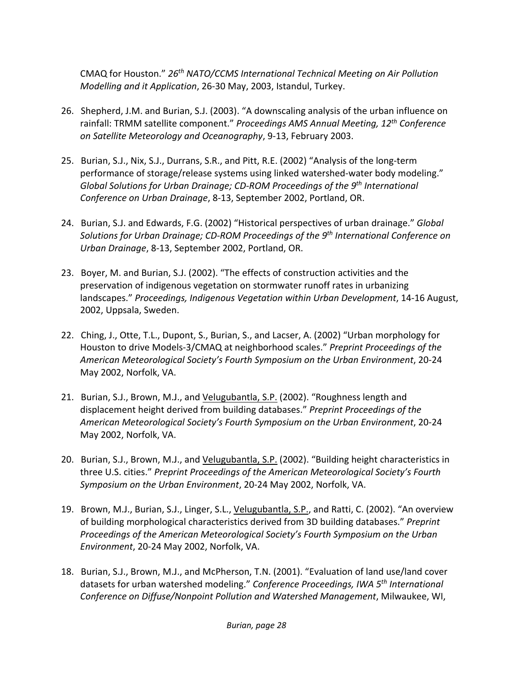CMAQ for Houston." *26th NATO/CCMS International Technical Meeting on Air Pollution Modelling and it Application*, 26‐30 May, 2003, Istandul, Turkey.

- 26. Shepherd, J.M. and Burian, S.J. (2003). "A downscaling analysis of the urban influence on rainfall: TRMM satellite component." *Proceedings AMS Annual Meeting, 12th Conference on Satellite Meteorology and Oceanography*, 9‐13, February 2003.
- 25. Burian, S.J., Nix, S.J., Durrans, S.R., and Pitt, R.E. (2002) "Analysis of the long‐term performance of storage/release systems using linked watershed‐water body modeling." *Global Solutions for Urban Drainage; CD‐ROM Proceedings of the 9th International Conference on Urban Drainage*, 8‐13, September 2002, Portland, OR.
- 24. Burian, S.J. and Edwards, F.G. (2002) "Historical perspectives of urban drainage." *Global Solutions for Urban Drainage; CD‐ROM Proceedings of the 9th International Conference on Urban Drainage*, 8‐13, September 2002, Portland, OR.
- 23. Boyer, M. and Burian, S.J. (2002). "The effects of construction activities and the preservation of indigenous vegetation on stormwater runoff rates in urbanizing landscapes." *Proceedings, Indigenous Vegetation within Urban Development*, 14‐16 August, 2002, Uppsala, Sweden.
- 22. Ching, J., Otte, T.L., Dupont, S., Burian, S., and Lacser, A. (2002) "Urban morphology for Houston to drive Models‐3/CMAQ at neighborhood scales." *Preprint Proceedings of the American Meteorological Society's Fourth Symposium on the Urban Environment*, 20‐24 May 2002, Norfolk, VA.
- 21. Burian, S.J., Brown, M.J., and Velugubantla, S.P. (2002). "Roughness length and displacement height derived from building databases." *Preprint Proceedings of the American Meteorological Society's Fourth Symposium on the Urban Environment*, 20‐24 May 2002, Norfolk, VA.
- 20. Burian, S.J., Brown, M.J., and Velugubantla, S.P. (2002). "Building height characteristics in three U.S. cities." *Preprint Proceedings of the American Meteorological Society's Fourth Symposium on the Urban Environment*, 20‐24 May 2002, Norfolk, VA.
- 19. Brown, M.J., Burian, S.J., Linger, S.L., Velugubantla, S.P., and Ratti, C. (2002). "An overview of building morphological characteristics derived from 3D building databases." *Preprint Proceedings of the American Meteorological Society's Fourth Symposium on the Urban Environment*, 20‐24 May 2002, Norfolk, VA.
- 18. Burian, S.J., Brown, M.J., and McPherson, T.N. (2001). "Evaluation of land use/land cover datasets for urban watershed modeling." *Conference Proceedings, IWA 5th International Conference on Diffuse/Nonpoint Pollution and Watershed Management*, Milwaukee, WI,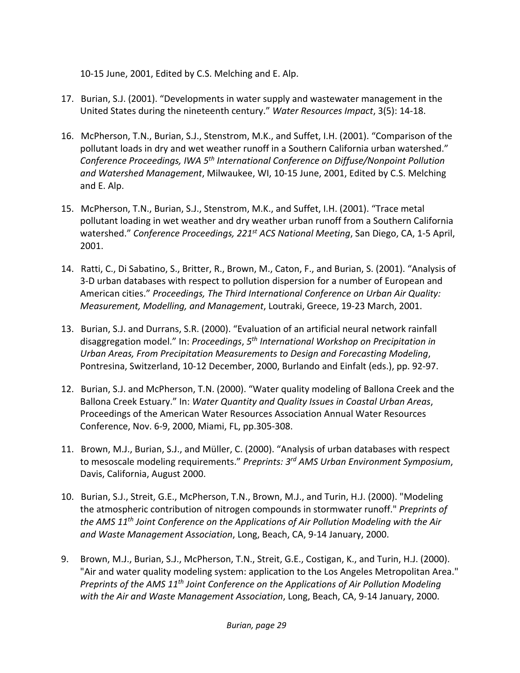10‐15 June, 2001, Edited by C.S. Melching and E. Alp.

- 17. Burian, S.J. (2001). "Developments in water supply and wastewater management in the United States during the nineteenth century." *Water Resources Impact*, 3(5): 14‐18.
- 16. McPherson, T.N., Burian, S.J., Stenstrom, M.K., and Suffet, I.H. (2001). "Comparison of the pollutant loads in dry and wet weather runoff in a Southern California urban watershed." *Conference Proceedings, IWA 5th International Conference on Diffuse/Nonpoint Pollution and Watershed Management*, Milwaukee, WI, 10‐15 June, 2001, Edited by C.S. Melching and E. Alp.
- 15. McPherson, T.N., Burian, S.J., Stenstrom, M.K., and Suffet, I.H. (2001). "Trace metal pollutant loading in wet weather and dry weather urban runoff from a Southern California watershed." *Conference Proceedings, 221st ACS National Meeting*, San Diego, CA, 1‐5 April, 2001.
- 14. Ratti, C., Di Sabatino, S., Britter, R., Brown, M., Caton, F., and Burian, S. (2001). "Analysis of 3‐D urban databases with respect to pollution dispersion for a number of European and American cities." *Proceedings, The Third International Conference on Urban Air Quality: Measurement, Modelling, and Management*, Loutraki, Greece, 19‐23 March, 2001.
- 13. Burian, S.J. and Durrans, S.R. (2000). "Evaluation of an artificial neural network rainfall disaggregation model." In: *Proceedings*, *5th International Workshop on Precipitation in Urban Areas, From Precipitation Measurements to Design and Forecasting Modeling*, Pontresina, Switzerland, 10‐12 December, 2000, Burlando and Einfalt (eds.), pp. 92‐97.
- 12. Burian, S.J. and McPherson, T.N. (2000). "Water quality modeling of Ballona Creek and the Ballona Creek Estuary." In: *Water Quantity and Quality Issues in Coastal Urban Areas*, Proceedings of the American Water Resources Association Annual Water Resources Conference, Nov. 6‐9, 2000, Miami, FL, pp.305‐308.
- 11. Brown, M.J., Burian, S.J., and Müller, C. (2000). "Analysis of urban databases with respect to mesoscale modeling requirements." *Preprints: 3rd AMS Urban Environment Symposium*, Davis, California, August 2000.
- 10. Burian, S.J., Streit, G.E., McPherson, T.N., Brown, M.J., and Turin, H.J. (2000). "Modeling the atmospheric contribution of nitrogen compounds in stormwater runoff." *Preprints of the AMS 11th Joint Conference on the Applications of Air Pollution Modeling with the Air and Waste Management Association*, Long, Beach, CA, 9‐14 January, 2000.
- 9. Brown, M.J., Burian, S.J., McPherson, T.N., Streit, G.E., Costigan, K., and Turin, H.J. (2000). "Air and water quality modeling system: application to the Los Angeles Metropolitan Area." *Preprints of the AMS 11th Joint Conference on the Applications of Air Pollution Modeling with the Air and Waste Management Association*, Long, Beach, CA, 9‐14 January, 2000.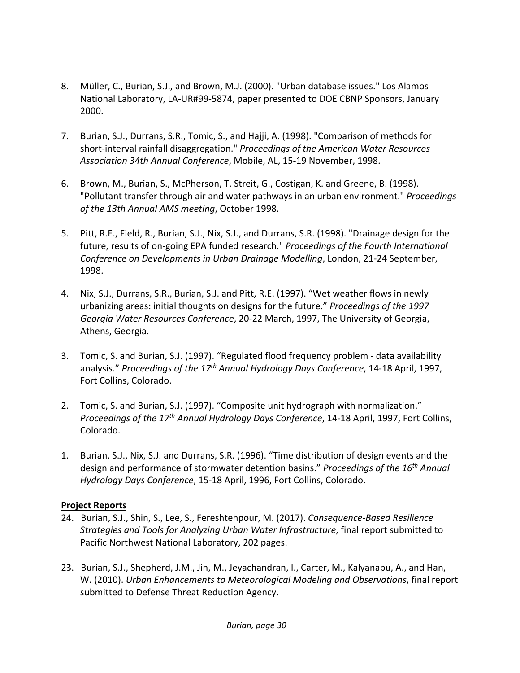- 8. Müller, C., Burian, S.J., and Brown, M.J. (2000). "Urban database issues." Los Alamos National Laboratory, LA‐UR#99‐5874, paper presented to DOE CBNP Sponsors, January 2000.
- 7. Burian, S.J., Durrans, S.R., Tomic, S., and Hajji, A. (1998). "Comparison of methods for short‐interval rainfall disaggregation." *Proceedings of the American Water Resources Association 34th Annual Conference*, Mobile, AL, 15‐19 November, 1998.
- 6. Brown, M., Burian, S., McPherson, T. Streit, G., Costigan, K. and Greene, B. (1998). "Pollutant transfer through air and water pathways in an urban environment." *Proceedings of the 13th Annual AMS meeting*, October 1998.
- 5. Pitt, R.E., Field, R., Burian, S.J., Nix, S.J., and Durrans, S.R. (1998). "Drainage design for the future, results of on‐going EPA funded research." *Proceedings of the Fourth International Conference on Developments in Urban Drainage Modelling*, London, 21‐24 September, 1998.
- 4. Nix, S.J., Durrans, S.R., Burian, S.J. and Pitt, R.E. (1997). "Wet weather flows in newly urbanizing areas: initial thoughts on designs for the future." *Proceedings of the 1997 Georgia Water Resources Conference*, 20‐22 March, 1997, The University of Georgia, Athens, Georgia.
- 3. Tomic, S. and Burian, S.J. (1997). "Regulated flood frequency problem data availability analysis." *Proceedings of the 17th Annual Hydrology Days Conference*, 14‐18 April, 1997, Fort Collins, Colorado.
- 2. Tomic, S. and Burian, S.J. (1997). "Composite unit hydrograph with normalization." *Proceedings of the 17th Annual Hydrology Days Conference*, 14‐18 April, 1997, Fort Collins, Colorado.
- 1. Burian, S.J., Nix, S.J. and Durrans, S.R. (1996). "Time distribution of design events and the design and performance of stormwater detention basins." *Proceedings of the 16th Annual Hydrology Days Conference*, 15‐18 April, 1996, Fort Collins, Colorado.

### **Project Reports**

- 24. Burian, S.J., Shin, S., Lee, S., Fereshtehpour, M. (2017). *Consequence‐Based Resilience Strategies and Tools for Analyzing Urban Water Infrastructure*, final report submitted to Pacific Northwest National Laboratory, 202 pages.
- 23. Burian, S.J., Shepherd, J.M., Jin, M., Jeyachandran, I., Carter, M., Kalyanapu, A., and Han, W. (2010). *Urban Enhancements to Meteorological Modeling and Observations*, final report submitted to Defense Threat Reduction Agency.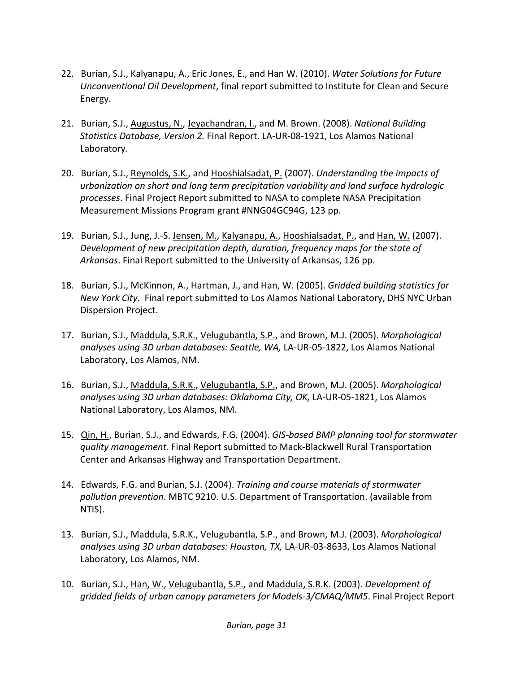- 22. Burian, S.J., Kalyanapu, A., Eric Jones, E., and Han W. (2010). *Water Solutions for Future Unconventional Oil Development*, final report submitted to Institute for Clean and Secure Energy.
- 21. Burian, S.J., Augustus, N., Jeyachandran, I., and M. Brown. (2008). *National Building Statistics Database, Version 2.* Final Report. LA‐UR‐08‐1921, Los Alamos National Laboratory.
- 20. Burian, S.J., Reynolds, S.K., and Hooshialsadat, P. (2007). *Understanding the impacts of urbanization on short and long term precipitation variability and land surface hydrologic processes*. Final Project Report submitted to NASA to complete NASA Precipitation Measurement Missions Program grant #NNG04GC94G, 123 pp.
- 19. Burian, S.J., Jung, J.‐S. Jensen, M., Kalyanapu, A., Hooshialsadat, P., and Han, W. (2007). *Development of new precipitation depth, duration, frequency maps for the state of Arkansas*. Final Report submitted to the University of Arkansas, 126 pp.
- 18. Burian, S.J., McKinnon, A., Hartman, J., and Han, W. (2005). *Gridded building statistics for New York City*. Final report submitted to Los Alamos National Laboratory, DHS NYC Urban Dispersion Project.
- 17. Burian, S.J., Maddula, S.R.K., Velugubantla, S.P., and Brown, M.J. (2005). *Morphological analyses using 3D urban databases: Seattle, WA,* LA‐UR‐05‐1822, Los Alamos National Laboratory, Los Alamos, NM.
- 16. Burian, S.J., Maddula, S.R.K., Velugubantla, S.P., and Brown, M.J. (2005). *Morphological analyses using 3D urban databases: Oklahoma City, OK,* LA‐UR‐05‐1821, Los Alamos National Laboratory, Los Alamos, NM.
- 15. Qin, H., Burian, S.J., and Edwards, F.G. (2004). *GIS‐based BMP planning tool for stormwater quality management*. Final Report submitted to Mack‐Blackwell Rural Transportation Center and Arkansas Highway and Transportation Department.
- 14. Edwards, F.G. and Burian, S.J. (2004). *Training and course materials of stormwater pollution prevention*. MBTC 9210. U.S. Department of Transportation. (available from NTIS).
- 13. Burian, S.J., Maddula, S.R.K., Velugubantla, S.P., and Brown, M.J. (2003). *Morphological analyses using 3D urban databases: Houston, TX,* LA‐UR‐03‐8633, Los Alamos National Laboratory, Los Alamos, NM.
- 10. Burian, S.J., Han, W., Velugubantla, S.P., and Maddula, S.R.K. (2003). *Development of gridded fields of urban canopy parameters for Models‐3/CMAQ/MM5*. Final Project Report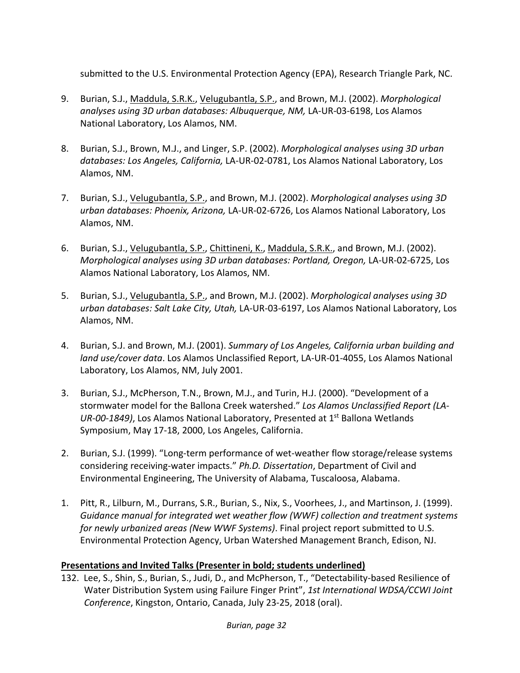submitted to the U.S. Environmental Protection Agency (EPA), Research Triangle Park, NC.

- 9. Burian, S.J., Maddula, S.R.K., Velugubantla, S.P., and Brown, M.J. (2002). *Morphological analyses using 3D urban databases: Albuquerque, NM,* LA‐UR‐03‐6198, Los Alamos National Laboratory, Los Alamos, NM.
- 8. Burian, S.J., Brown, M.J., and Linger, S.P. (2002). *Morphological analyses using 3D urban databases: Los Angeles, California,* LA‐UR‐02‐0781, Los Alamos National Laboratory, Los Alamos, NM.
- 7. Burian, S.J., Velugubantla, S.P., and Brown, M.J. (2002). *Morphological analyses using 3D urban databases: Phoenix, Arizona,* LA‐UR‐02‐6726, Los Alamos National Laboratory, Los Alamos, NM.
- 6. Burian, S.J., Velugubantla, S.P., Chittineni, K., Maddula, S.R.K., and Brown, M.J. (2002). *Morphological analyses using 3D urban databases: Portland, Oregon,* LA‐UR‐02‐6725, Los Alamos National Laboratory, Los Alamos, NM.
- 5. Burian, S.J., Velugubantla, S.P., and Brown, M.J. (2002). *Morphological analyses using 3D urban databases: Salt Lake City, Utah,* LA‐UR‐03‐6197, Los Alamos National Laboratory, Los Alamos, NM.
- 4. Burian, S.J. and Brown, M.J. (2001). *Summary of Los Angeles, California urban building and land use/cover data*. Los Alamos Unclassified Report, LA‐UR‐01‐4055, Los Alamos National Laboratory, Los Alamos, NM, July 2001.
- 3. Burian, S.J., McPherson, T.N., Brown, M.J., and Turin, H.J. (2000). "Development of a stormwater model for the Ballona Creek watershed." *Los Alamos Unclassified Report (LA‐ UR‐00‐1849)*, Los Alamos National Laboratory, Presented at 1st Ballona Wetlands Symposium, May 17‐18, 2000, Los Angeles, California.
- 2. Burian, S.J. (1999). "Long-term performance of wet-weather flow storage/release systems considering receiving‐water impacts." *Ph.D. Dissertation*, Department of Civil and Environmental Engineering, The University of Alabama, Tuscaloosa, Alabama.
- 1. Pitt, R., Lilburn, M., Durrans, S.R., Burian, S., Nix, S., Voorhees, J., and Martinson, J. (1999). *Guidance manual for integrated wet weather flow (WWF) collection and treatment systems for newly urbanized areas (New WWF Systems)*. Final project report submitted to U.S. Environmental Protection Agency, Urban Watershed Management Branch, Edison, NJ.

### **Presentations and Invited Talks (Presenter in bold; students underlined)**

132. Lee, S., Shin, S., Burian, S., Judi, D., and McPherson, T., "Detectability‐based Resilience of Water Distribution System using Failure Finger Print", *1st International WDSA/CCWI Joint Conference*, Kingston, Ontario, Canada, July 23‐25, 2018 (oral).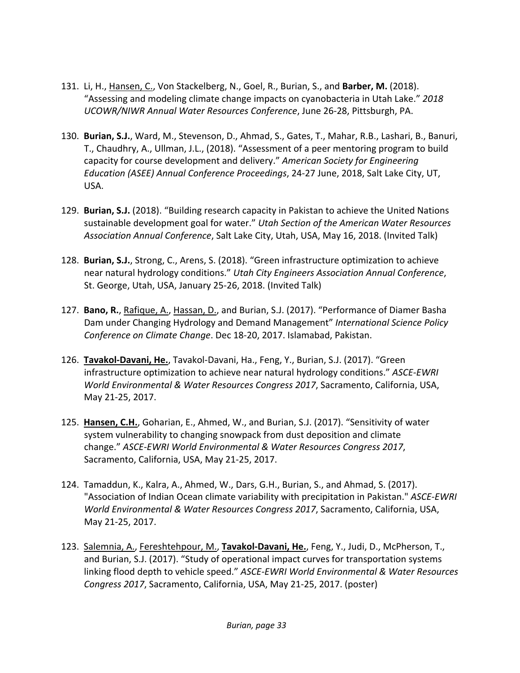- 131. Li, H., Hansen, C., Von Stackelberg, N., Goel, R., Burian, S., and **Barber, M.** (2018). "Assessing and modeling climate change impacts on cyanobacteria in Utah Lake." *2018 UCOWR/NIWR Annual Water Resources Conference*, June 26‐28, Pittsburgh, PA.
- 130. **Burian, S.J.**, Ward, M., Stevenson, D., Ahmad, S., Gates, T., Mahar, R.B., Lashari, B., Banuri, T., Chaudhry, A., Ullman, J.L., (2018). "Assessment of a peer mentoring program to build capacity for course development and delivery." *American Society for Engineering Education (ASEE) Annual Conference Proceedings*, 24‐27 June, 2018, Salt Lake City, UT, USA.
- 129. **Burian, S.J.** (2018). "Building research capacity in Pakistan to achieve the United Nations sustainable development goal for water." *Utah Section of the American Water Resources Association Annual Conference*, Salt Lake City, Utah, USA, May 16, 2018. (Invited Talk)
- 128. **Burian, S.J.**, Strong, C., Arens, S. (2018). "Green infrastructure optimization to achieve near natural hydrology conditions." *Utah City Engineers Association Annual Conference*, St. George, Utah, USA, January 25‐26, 2018. (Invited Talk)
- 127. **Bano, R.**, Rafique, A., Hassan, D., and Burian, S.J. (2017). "Performance of Diamer Basha Dam under Changing Hydrology and Demand Management" *International Science Policy Conference on Climate Change*. Dec 18‐20, 2017. Islamabad, Pakistan.
- 126. **Tavakol‐Davani, He.**, Tavakol‐Davani, Ha., Feng, Y., Burian, S.J. (2017). "Green infrastructure optimization to achieve near natural hydrology conditions." *ASCE‐EWRI World Environmental & Water Resources Congress 2017*, Sacramento, California, USA, May 21‐25, 2017.
- 125. **Hansen, C.H.**, Goharian, E., Ahmed, W., and Burian, S.J. (2017). "Sensitivity of water system vulnerability to changing snowpack from dust deposition and climate change." *ASCE‐EWRI World Environmental & Water Resources Congress 2017*, Sacramento, California, USA, May 21‐25, 2017.
- 124. Tamaddun, K., Kalra, A., Ahmed, W., Dars, G.H., Burian, S., and Ahmad, S. (2017). "Association of Indian Ocean climate variability with precipitation in Pakistan." *ASCE‐EWRI World Environmental & Water Resources Congress 2017*, Sacramento, California, USA, May 21‐25, 2017.
- 123. Salemnia, A., Fereshtehpour, M., **Tavakol‐Davani, He.**, Feng, Y., Judi, D., McPherson, T., and Burian, S.J. (2017). "Study of operational impact curves for transportation systems linking flood depth to vehicle speed." *ASCE‐EWRI World Environmental & Water Resources Congress 2017*, Sacramento, California, USA, May 21‐25, 2017. (poster)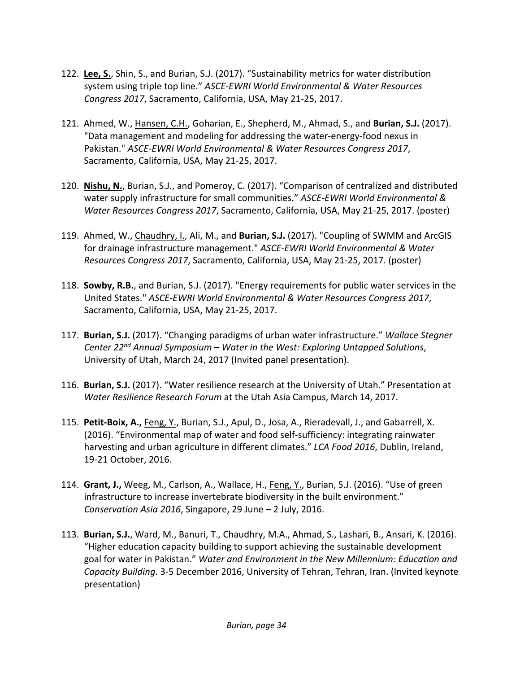- 122. **Lee, S.**, Shin, S., and Burian, S.J. (2017). "Sustainability metrics for water distribution system using triple top line." *ASCE‐EWRI World Environmental & Water Resources Congress 2017*, Sacramento, California, USA, May 21‐25, 2017.
- 121. Ahmed, W., Hansen, C.H., Goharian, E., Shepherd, M., Ahmad, S., and **Burian, S.J.** (2017). "Data management and modeling for addressing the water‐energy‐food nexus in Pakistan." *ASCE‐EWRI World Environmental & Water Resources Congress 2017*, Sacramento, California, USA, May 21‐25, 2017.
- 120. **Nishu, N.**, Burian, S.J., and Pomeroy, C. (2017). "Comparison of centralized and distributed water supply infrastructure for small communities." *ASCE‐EWRI World Environmental & Water Resources Congress 2017*, Sacramento, California, USA, May 21‐25, 2017. (poster)
- 119. Ahmed, W., Chaudhry, I., Ali, M., and **Burian, S.J.** (2017). "Coupling of SWMM and ArcGIS for drainage infrastructure management." *ASCE‐EWRI World Environmental & Water Resources Congress 2017*, Sacramento, California, USA, May 21‐25, 2017. (poster)
- 118. **Sowby, R.B.**, and Burian, S.J. (2017). "Energy requirements for public water services in the United States." *ASCE‐EWRI World Environmental & Water Resources Congress 2017*, Sacramento, California, USA, May 21‐25, 2017.
- 117. **Burian, S.J.** (2017). "Changing paradigms of urban water infrastructure." *Wallace Stegner Center 22nd Annual Symposium – Water in the West: Exploring Untapped Solutions*, University of Utah, March 24, 2017 (Invited panel presentation).
- 116. **Burian, S.J.** (2017). "Water resilience research at the University of Utah." Presentation at *Water Resilience Research Forum* at the Utah Asia Campus, March 14, 2017.
- 115. **Petit‐Boix, A.,** Feng, Y., Burian, S.J., Apul, D., Josa, A., Rieradevall, J., and Gabarrell, X. (2016). "Environmental map of water and food self‐sufficiency: integrating rainwater harvesting and urban agriculture in different climates." *LCA Food 2016*, Dublin, Ireland, 19‐21 October, 2016.
- 114. **Grant, J.,** Weeg, M., Carlson, A., Wallace, H., Feng, Y., Burian, S.J. (2016). "Use of green infrastructure to increase invertebrate biodiversity in the built environment." *Conservation Asia 2016*, Singapore, 29 June – 2 July, 2016.
- 113. **Burian, S.J.**, Ward, M., Banuri, T., Chaudhry, M.A., Ahmad, S., Lashari, B., Ansari, K. (2016). "Higher education capacity building to support achieving the sustainable development goal for water in Pakistan." *Water and Environment in the New Millennium: Education and Capacity Building.* 3‐5 December 2016, University of Tehran, Tehran, Iran. (Invited keynote presentation)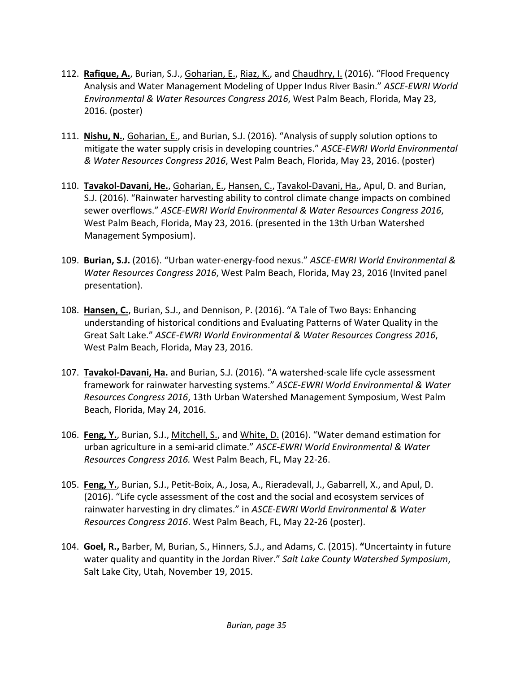- 112. **Rafique, A.**, Burian, S.J., Goharian, E., Riaz, K., and Chaudhry, I. (2016). "Flood Frequency Analysis and Water Management Modeling of Upper Indus River Basin." *ASCE‐EWRI World Environmental & Water Resources Congress 2016*, West Palm Beach, Florida, May 23, 2016. (poster)
- 111. **Nishu, N.**, Goharian, E., and Burian, S.J. (2016). "Analysis of supply solution options to mitigate the water supply crisis in developing countries." *ASCE‐EWRI World Environmental & Water Resources Congress 2016*, West Palm Beach, Florida, May 23, 2016. (poster)
- 110. **Tavakol‐Davani, He.**, Goharian, E., Hansen, C., Tavakol‐Davani, Ha., Apul, D. and Burian, S.J. (2016). "Rainwater harvesting ability to control climate change impacts on combined sewer overflows." *ASCE‐EWRI World Environmental & Water Resources Congress 2016*, West Palm Beach, Florida, May 23, 2016. (presented in the 13th Urban Watershed Management Symposium).
- 109. **Burian, S.J.** (2016). "Urban water‐energy‐food nexus." *ASCE‐EWRI World Environmental & Water Resources Congress 2016*, West Palm Beach, Florida, May 23, 2016 (Invited panel presentation).
- 108. **Hansen, C.**, Burian, S.J., and Dennison, P. (2016). "A Tale of Two Bays: Enhancing understanding of historical conditions and Evaluating Patterns of Water Quality in the Great Salt Lake." *ASCE‐EWRI World Environmental & Water Resources Congress 2016*, West Palm Beach, Florida, May 23, 2016.
- 107. **Tavakol‐Davani, Ha.** and Burian, S.J. (2016). "A watershed‐scale life cycle assessment framework for rainwater harvesting systems." *ASCE‐EWRI World Environmental & Water Resources Congress 2016*, 13th Urban Watershed Management Symposium, West Palm Beach, Florida, May 24, 2016.
- 106. **Feng, Y.**, Burian, S.J., Mitchell, S., and White, D. (2016). "Water demand estimation for urban agriculture in a semi‐arid climate." *ASCE‐EWRI World Environmental & Water Resources Congress 2016.* West Palm Beach, FL, May 22‐26.
- 105. **Feng, Y.**, Burian, S.J., Petit‐Boix, A., Josa, A., Rieradevall, J., Gabarrell, X., and Apul, D. (2016). "Life cycle assessment of the cost and the social and ecosystem services of rainwater harvesting in dry climates." in *ASCE‐EWRI World Environmental & Water Resources Congress 2016*. West Palm Beach, FL, May 22‐26 (poster).
- 104. **Goel, R.,** Barber, M, Burian, S., Hinners, S.J., and Adams, C. (2015). **"**Uncertainty in future water quality and quantity in the Jordan River." *Salt Lake County Watershed Symposium*, Salt Lake City, Utah, November 19, 2015.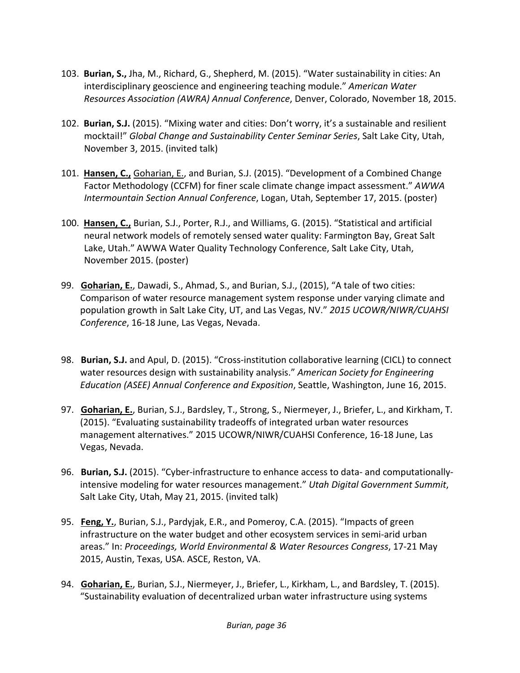- 103. **Burian, S.,** Jha, M., Richard, G., Shepherd, M. (2015). "Water sustainability in cities: An interdisciplinary geoscience and engineering teaching module." *American Water Resources Association (AWRA) Annual Conference*, Denver, Colorado, November 18, 2015.
- 102. **Burian, S.J.** (2015). "Mixing water and cities: Don't worry, it's a sustainable and resilient mocktail!" *Global Change and Sustainability Center Seminar Series*, Salt Lake City, Utah, November 3, 2015. (invited talk)
- 101. **Hansen, C.,** Goharian, E., and Burian, S.J. (2015). "Development of a Combined Change Factor Methodology (CCFM) for finer scale climate change impact assessment." *AWWA Intermountain Section Annual Conference*, Logan, Utah, September 17, 2015. (poster)
- 100. **Hansen, C.,** Burian, S.J., Porter, R.J., and Williams, G. (2015). "Statistical and artificial neural network models of remotely sensed water quality: Farmington Bay, Great Salt Lake, Utah." AWWA Water Quality Technology Conference, Salt Lake City, Utah, November 2015. (poster)
- 99. **Goharian, E.**, Dawadi, S., Ahmad, S., and Burian, S.J., (2015), "A tale of two cities: Comparison of water resource management system response under varying climate and population growth in Salt Lake City, UT, and Las Vegas, NV." *2015 UCOWR/NIWR/CUAHSI Conference*, 16‐18 June, Las Vegas, Nevada.
- 98. **Burian, S.J.** and Apul, D. (2015). "Cross‐institution collaborative learning (CICL) to connect water resources design with sustainability analysis." *American Society for Engineering Education (ASEE) Annual Conference and Exposition*, Seattle, Washington, June 16, 2015.
- 97. **Goharian, E.**, Burian, S.J., Bardsley, T., Strong, S., Niermeyer, J., Briefer, L., and Kirkham, T. (2015). "Evaluating sustainability tradeoffs of integrated urban water resources management alternatives." 2015 UCOWR/NIWR/CUAHSI Conference, 16‐18 June, Las Vegas, Nevada.
- 96. **Burian, S.J.** (2015). "Cyber-infrastructure to enhance access to data- and computationallyintensive modeling for water resources management." *Utah Digital Government Summit*, Salt Lake City, Utah, May 21, 2015. (invited talk)
- 95. **Feng, Y.**, Burian, S.J., Pardyjak, E.R., and Pomeroy, C.A. (2015). "Impacts of green infrastructure on the water budget and other ecosystem services in semi‐arid urban areas." In: *Proceedings, World Environmental & Water Resources Congress*, 17‐21 May 2015, Austin, Texas, USA. ASCE, Reston, VA.
- 94. **Goharian, E.**, Burian, S.J., Niermeyer, J., Briefer, L., Kirkham, L., and Bardsley, T. (2015). "Sustainability evaluation of decentralized urban water infrastructure using systems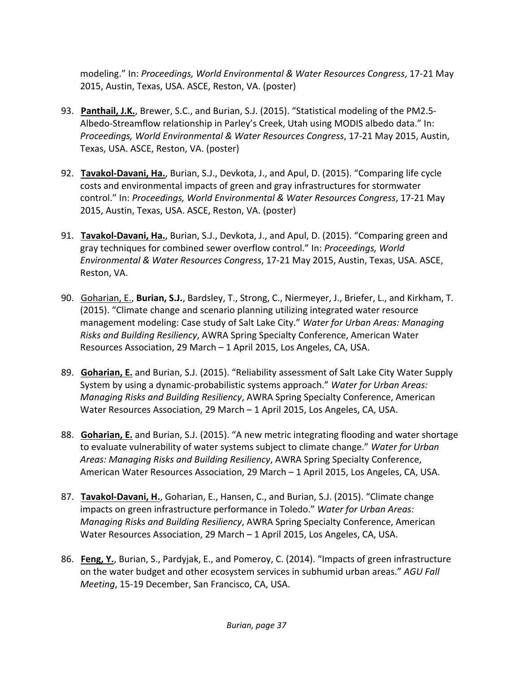modeling." In: *Proceedings, World Environmental & Water Resources Congress*, 17‐21 May 2015, Austin, Texas, USA. ASCE, Reston, VA. (poster)

- 93. **Panthail, J.K.**, Brewer, S.C., and Burian, S.J. (2015). "Statistical modeling of the PM2.5‐ Albedo‐Streamflow relationship in Parley's Creek, Utah using MODIS albedo data." In: *Proceedings, World Environmental & Water Resources Congress*, 17‐21 May 2015, Austin, Texas, USA. ASCE, Reston, VA. (poster)
- 92. **Tavakol‐Davani, Ha.**, Burian, S.J., Devkota, J., and Apul, D. (2015). "Comparing life cycle costs and environmental impacts of green and gray infrastructures for stormwater control." In: *Proceedings, World Environmental & Water Resources Congress*, 17‐21 May 2015, Austin, Texas, USA. ASCE, Reston, VA. (poster)
- 91. **Tavakol‐Davani, Ha.**, Burian, S.J., Devkota, J., and Apul, D. (2015). "Comparing green and gray techniques for combined sewer overflow control." In: *Proceedings, World Environmental & Water Resources Congress*, 17‐21 May 2015, Austin, Texas, USA. ASCE, Reston, VA.
- 90. Goharian, E., **Burian, S.J.**, Bardsley, T., Strong, C., Niermeyer, J., Briefer, L., and Kirkham, T. (2015). "Climate change and scenario planning utilizing integrated water resource management modeling: Case study of Salt Lake City." *Water for Urban Areas: Managing Risks and Building Resiliency*, AWRA Spring Specialty Conference, American Water Resources Association, 29 March – 1 April 2015, Los Angeles, CA, USA.
- 89. **Goharian, E.** and Burian, S.J. (2015). "Reliability assessment of Salt Lake City Water Supply System by using a dynamic‐probabilistic systems approach." *Water for Urban Areas: Managing Risks and Building Resiliency*, AWRA Spring Specialty Conference, American Water Resources Association, 29 March – 1 April 2015, Los Angeles, CA, USA.
- 88. **Goharian, E.** and Burian, S.J. (2015). "A new metric integrating flooding and water shortage to evaluate vulnerability of water systems subject to climate change." *Water for Urban Areas: Managing Risks and Building Resiliency*, AWRA Spring Specialty Conference, American Water Resources Association, 29 March – 1 April 2015, Los Angeles, CA, USA.
- 87. **Tavakol‐Davani, H.**, Goharian, E., Hansen, C., and Burian, S.J. (2015). "Climate change impacts on green infrastructure performance in Toledo." *Water for Urban Areas: Managing Risks and Building Resiliency*, AWRA Spring Specialty Conference, American Water Resources Association, 29 March – 1 April 2015, Los Angeles, CA, USA.
- 86. **Feng, Y.**, Burian, S., Pardyjak, E., and Pomeroy, C. (2014). "Impacts of green infrastructure on the water budget and other ecosystem services in subhumid urban areas." *AGU Fall Meeting*, 15‐19 December, San Francisco, CA, USA.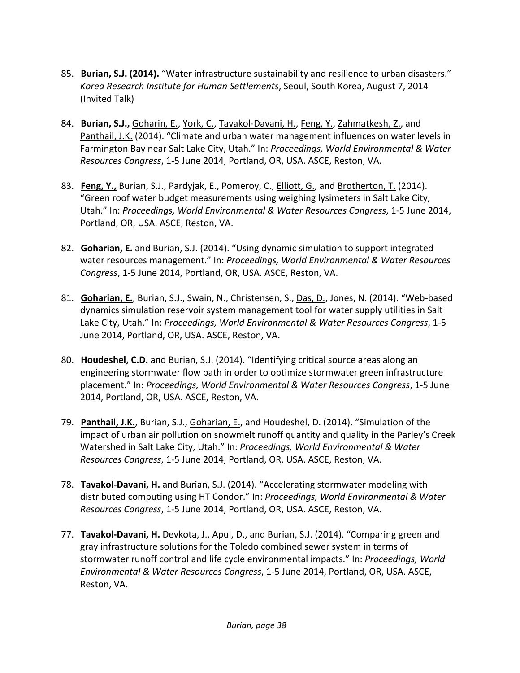- 85. **Burian, S.J. (2014).** "Water infrastructure sustainability and resilience to urban disasters." *Korea Research Institute for Human Settlements*, Seoul, South Korea, August 7, 2014 (Invited Talk)
- 84. **Burian, S.J.,** Goharin, E., York, C., Tavakol‐Davani, H., Feng, Y., Zahmatkesh, Z., and Panthail, J.K. (2014). "Climate and urban water management influences on water levels in Farmington Bay near Salt Lake City, Utah." In: *Proceedings, World Environmental & Water Resources Congress*, 1‐5 June 2014, Portland, OR, USA. ASCE, Reston, VA.
- 83. Feng, Y., Burian, S.J., Pardyjak, E., Pomeroy, C., **Elliott, G., and Brotherton, T.** (2014). "Green roof water budget measurements using weighing lysimeters in Salt Lake City, Utah." In: *Proceedings, World Environmental & Water Resources Congress*, 1‐5 June 2014, Portland, OR, USA. ASCE, Reston, VA.
- 82. **Goharian, E.** and Burian, S.J. (2014). "Using dynamic simulation to support integrated water resources management." In: *Proceedings, World Environmental & Water Resources Congress*, 1‐5 June 2014, Portland, OR, USA. ASCE, Reston, VA.
- 81. **Goharian, E.**, Burian, S.J., Swain, N., Christensen, S., Das, D., Jones, N. (2014). "Web‐based dynamics simulation reservoir system management tool for water supply utilities in Salt Lake City, Utah." In: *Proceedings, World Environmental & Water Resources Congress*, 1‐5 June 2014, Portland, OR, USA. ASCE, Reston, VA.
- 80. **Houdeshel, C.D.** and Burian, S.J. (2014). "Identifying critical source areas along an engineering stormwater flow path in order to optimize stormwater green infrastructure placement." In: *Proceedings, World Environmental & Water Resources Congress*, 1‐5 June 2014, Portland, OR, USA. ASCE, Reston, VA.
- 79. **Panthail, J.K.**, Burian, S.J., Goharian, E., and Houdeshel, D. (2014). "Simulation of the impact of urban air pollution on snowmelt runoff quantity and quality in the Parley's Creek Watershed in Salt Lake City, Utah." In: *Proceedings, World Environmental & Water Resources Congress*, 1‐5 June 2014, Portland, OR, USA. ASCE, Reston, VA.
- 78. **Tavakol‐Davani, H.** and Burian, S.J. (2014). "Accelerating stormwater modeling with distributed computing using HT Condor." In: *Proceedings, World Environmental & Water Resources Congress*, 1‐5 June 2014, Portland, OR, USA. ASCE, Reston, VA.
- 77. **Tavakol‐Davani, H.** Devkota, J., Apul, D., and Burian, S.J. (2014). "Comparing green and gray infrastructure solutions for the Toledo combined sewer system in terms of stormwater runoff control and life cycle environmental impacts." In: *Proceedings, World Environmental & Water Resources Congress*, 1‐5 June 2014, Portland, OR, USA. ASCE, Reston, VA.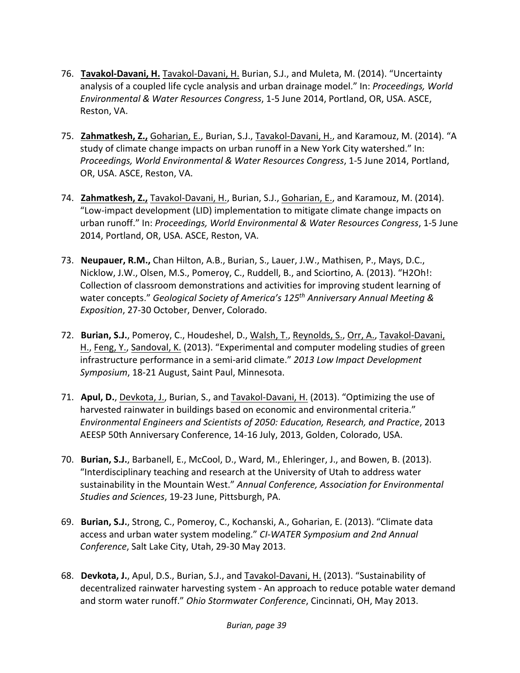- 76. **Tavakol‐Davani, H.** Tavakol‐Davani, H. Burian, S.J., and Muleta, M. (2014). "Uncertainty analysis of a coupled life cycle analysis and urban drainage model." In: *Proceedings, World Environmental & Water Resources Congress*, 1‐5 June 2014, Portland, OR, USA. ASCE, Reston, VA.
- 75. **Zahmatkesh, Z.,** Goharian, E., Burian, S.J., Tavakol‐Davani, H., and Karamouz, M. (2014). "A study of climate change impacts on urban runoff in a New York City watershed." In: *Proceedings, World Environmental & Water Resources Congress*, 1‐5 June 2014, Portland, OR, USA. ASCE, Reston, VA.
- 74. **Zahmatkesh, Z.,** Tavakol‐Davani, H., Burian, S.J., Goharian, E., and Karamouz, M. (2014). "Low‐impact development (LID) implementation to mitigate climate change impacts on urban runoff." In: *Proceedings, World Environmental & Water Resources Congress*, 1‐5 June 2014, Portland, OR, USA. ASCE, Reston, VA.
- 73. **Neupauer, R.M.,** Chan Hilton, A.B., Burian, S., Lauer, J.W., Mathisen, P., Mays, D.C., Nicklow, J.W., Olsen, M.S., Pomeroy, C., Ruddell, B., and Sciortino, A. (2013). "H2Oh!: Collection of classroom demonstrations and activities for improving student learning of water concepts." *Geological Society of America's 125th Anniversary Annual Meeting & Exposition*, 27‐30 October, Denver, Colorado.
- 72. **Burian, S.J.**, Pomeroy, C., Houdeshel, D., Walsh, T., Reynolds, S., Orr, A., Tavakol‐Davani, H., Feng, Y., Sandoval, K. (2013). "Experimental and computer modeling studies of green infrastructure performance in a semi‐arid climate." *2013 Low Impact Development Symposium*, 18‐21 August, Saint Paul, Minnesota.
- 71. **Apul, D.**, Devkota, J., Burian, S., and Tavakol‐Davani, H. (2013). "Optimizing the use of harvested rainwater in buildings based on economic and environmental criteria." *Environmental Engineers and Scientists of 2050: Education, Research, and Practice*, 2013 AEESP 50th Anniversary Conference, 14‐16 July, 2013, Golden, Colorado, USA.
- 70. **Burian, S.J.**, Barbanell, E., McCool, D., Ward, M., Ehleringer, J., and Bowen, B. (2013). "Interdisciplinary teaching and research at the University of Utah to address water sustainability in the Mountain West." *Annual Conference, Association for Environmental Studies and Sciences*, 19‐23 June, Pittsburgh, PA.
- 69. **Burian, S.J.**, Strong, C., Pomeroy, C., Kochanski, A., Goharian, E. (2013). "Climate data access and urban water system modeling." *CI‐WATER Symposium and 2nd Annual Conference*, Salt Lake City, Utah, 29‐30 May 2013.
- 68. **Devkota, J.**, Apul, D.S., Burian, S.J., and Tavakol‐Davani, H. (2013). "Sustainability of decentralized rainwater harvesting system ‐ An approach to reduce potable water demand and storm water runoff." *Ohio Stormwater Conference*, Cincinnati, OH, May 2013.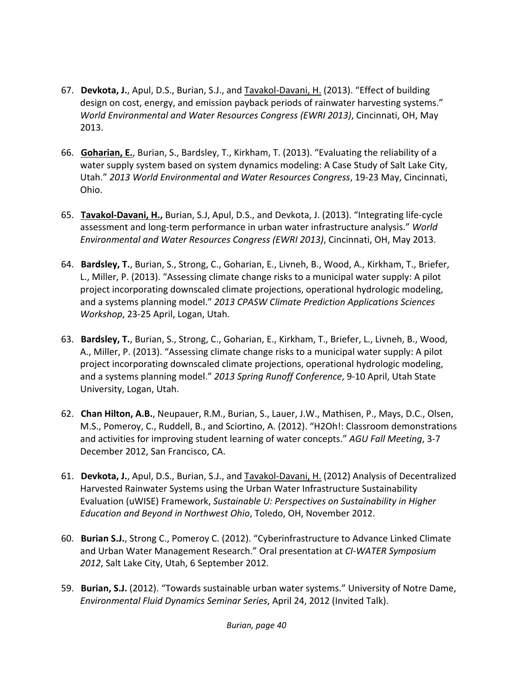- 67. **Devkota, J.**, Apul, D.S., Burian, S.J., and Tavakol‐Davani, H. (2013). "Effect of building design on cost, energy, and emission payback periods of rainwater harvesting systems." *World Environmental and Water Resources Congress (EWRI 2013)*, Cincinnati, OH, May 2013.
- 66. **Goharian, E.**, Burian, S., Bardsley, T., Kirkham, T. (2013). "Evaluating the reliability of a water supply system based on system dynamics modeling: A Case Study of Salt Lake City, Utah." *2013 World Environmental and Water Resources Congress*, 19‐23 May, Cincinnati, Ohio.
- 65. **Tavakol‐Davani, H.,** Burian, S.J, Apul, D.S., and Devkota, J. (2013). "Integrating life‐cycle assessment and long‐term performance in urban water infrastructure analysis." *World Environmental and Water Resources Congress (EWRI 2013)*, Cincinnati, OH, May 2013.
- 64. **Bardsley, T.**, Burian, S., Strong, C., Goharian, E., Livneh, B., Wood, A., Kirkham, T., Briefer, L., Miller, P. (2013). "Assessing climate change risks to a municipal water supply: A pilot project incorporating downscaled climate projections, operational hydrologic modeling, and a systems planning model." *2013 CPASW Climate Prediction Applications Sciences Workshop*, 23‐25 April, Logan, Utah.
- 63. **Bardsley, T.**, Burian, S., Strong, C., Goharian, E., Kirkham, T., Briefer, L., Livneh, B., Wood, A., Miller, P. (2013). "Assessing climate change risks to a municipal water supply: A pilot project incorporating downscaled climate projections, operational hydrologic modeling, and a systems planning model." *2013 Spring Runoff Conference*, 9‐10 April, Utah State University, Logan, Utah.
- 62. **Chan Hilton, A.B.**, Neupauer, R.M., Burian, S., Lauer, J.W., Mathisen, P., Mays, D.C., Olsen, M.S., Pomeroy, C., Ruddell, B., and Sciortino, A. (2012). "H2Oh!: Classroom demonstrations and activities for improving student learning of water concepts." *AGU Fall Meeting*, 3‐7 December 2012, San Francisco, CA.
- 61. **Devkota, J.**, Apul, D.S., Burian, S.J., and Tavakol‐Davani, H. (2012) Analysis of Decentralized Harvested Rainwater Systems using the Urban Water Infrastructure Sustainability Evaluation (uWISE) Framework, *Sustainable U: Perspectives on Sustainability in Higher Education and Beyond in Northwest Ohio*, Toledo, OH, November 2012.
- 60. **Burian S.J.**, Strong C., Pomeroy C. (2012). "Cyberinfrastructure to Advance Linked Climate and Urban Water Management Research." Oral presentation at *CI‐WATER Symposium 2012*, Salt Lake City, Utah, 6 September 2012.
- 59. **Burian, S.J.** (2012). "Towards sustainable urban water systems." University of Notre Dame, *Environmental Fluid Dynamics Seminar Series*, April 24, 2012 (Invited Talk).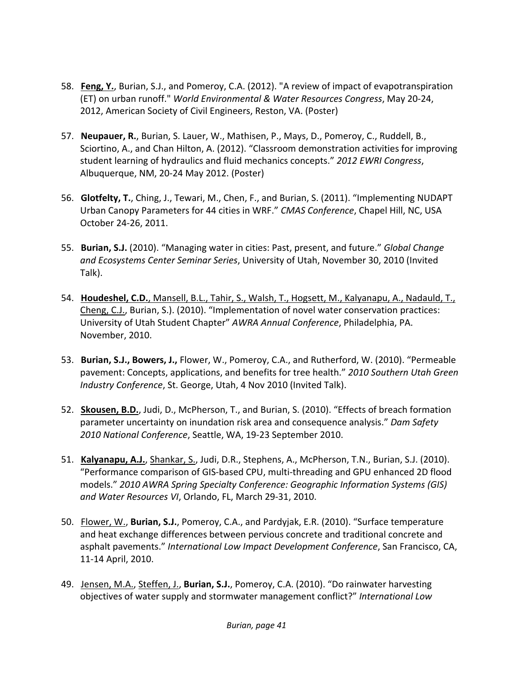- 58. **Feng, Y.**, Burian, S.J., and Pomeroy, C.A. (2012). "A review of impact of evapotranspiration (ET) on urban runoff." *World Environmental & Water Resources Congress*, May 20‐24, 2012, American Society of Civil Engineers, Reston, VA. (Poster)
- 57. **Neupauer, R.**, Burian, S. Lauer, W., Mathisen, P., Mays, D., Pomeroy, C., Ruddell, B., Sciortino, A., and Chan Hilton, A. (2012). "Classroom demonstration activities for improving student learning of hydraulics and fluid mechanics concepts." *2012 EWRI Congress*, Albuquerque, NM, 20‐24 May 2012. (Poster)
- 56. **Glotfelty, T.**, Ching, J., Tewari, M., Chen, F., and Burian, S. (2011). "Implementing NUDAPT Urban Canopy Parameters for 44 cities in WRF." *CMAS Conference*, Chapel Hill, NC, USA October 24‐26, 2011.
- 55. **Burian, S.J.** (2010). "Managing water in cities: Past, present, and future." *Global Change and Ecosystems Center Seminar Series*, University of Utah, November 30, 2010 (Invited Talk).
- 54. **Houdeshel, C.D.**, Mansell, B.L., Tahir, S., Walsh, T., Hogsett, M., Kalyanapu, A., Nadauld, T., Cheng, C.J., Burian, S.). (2010). "Implementation of novel water conservation practices: University of Utah Student Chapter" *AWRA Annual Conference*, Philadelphia, PA. November, 2010.
- 53. **Burian, S.J., Bowers, J.,** Flower, W., Pomeroy, C.A., and Rutherford, W. (2010). "Permeable pavement: Concepts, applications, and benefits for tree health." *2010 Southern Utah Green Industry Conference*, St. George, Utah, 4 Nov 2010 (Invited Talk).
- 52. **Skousen, B.D.**, Judi, D., McPherson, T., and Burian, S. (2010). "Effects of breach formation parameter uncertainty on inundation risk area and consequence analysis." *Dam Safety 2010 National Conference*, Seattle, WA, 19‐23 September 2010.
- 51. **Kalyanapu, A.J.**, Shankar, S., Judi, D.R., Stephens, A., McPherson, T.N., Burian, S.J. (2010). "Performance comparison of GIS‐based CPU, multi‐threading and GPU enhanced 2D flood models." *2010 AWRA Spring Specialty Conference: Geographic Information Systems (GIS) and Water Resources VI*, Orlando, FL, March 29‐31, 2010.
- 50. Flower, W., **Burian, S.J.**, Pomeroy, C.A., and Pardyjak, E.R. (2010). "Surface temperature and heat exchange differences between pervious concrete and traditional concrete and asphalt pavements." *International Low Impact Development Conference*, San Francisco, CA, 11‐14 April, 2010.
- 49. Jensen, M.A., Steffen, J., **Burian, S.J.**, Pomeroy, C.A. (2010). "Do rainwater harvesting objectives of water supply and stormwater management conflict?" *International Low*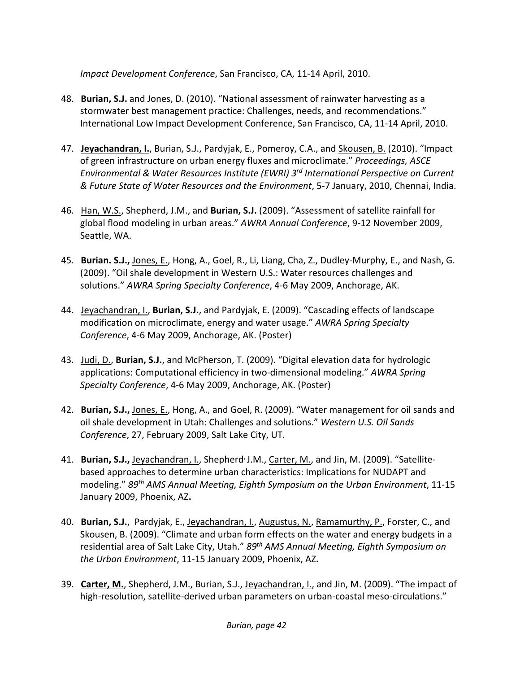*Impact Development Conference*, San Francisco, CA, 11‐14 April, 2010.

- 48. **Burian, S.J.** and Jones, D. (2010). "National assessment of rainwater harvesting as a stormwater best management practice: Challenges, needs, and recommendations." International Low Impact Development Conference, San Francisco, CA, 11‐14 April, 2010.
- 47. **Jeyachandran, I.**, Burian, S.J., Pardyjak, E., Pomeroy, C.A., and Skousen, B. (2010). "Impact of green infrastructure on urban energy fluxes and microclimate." *Proceedings, ASCE Environmental & Water Resources Institute (EWRI) 3rd International Perspective on Current & Future State of Water Resources and the Environment*, 5‐7 January, 2010, Chennai, India.
- 46. Han, W.S., Shepherd, J.M., and **Burian, S.J.** (2009). "Assessment of satellite rainfall for global flood modeling in urban areas." *AWRA Annual Conference*, 9‐12 November 2009, Seattle, WA.
- 45. **Burian. S.J.,** Jones, E., Hong, A., Goel, R., Li, Liang, Cha, Z., Dudley‐Murphy, E., and Nash, G. (2009). "Oil shale development in Western U.S.: Water resources challenges and solutions." *AWRA Spring Specialty Conference*, 4‐6 May 2009, Anchorage, AK.
- 44. Jeyachandran, I., **Burian, S.J.**, and Pardyjak, E. (2009). "Cascading effects of landscape modification on microclimate, energy and water usage." *AWRA Spring Specialty Conference*, 4‐6 May 2009, Anchorage, AK. (Poster)
- 43. Judi, D., **Burian, S.J.**, and McPherson, T. (2009). "Digital elevation data for hydrologic applications: Computational efficiency in two‐dimensional modeling." *AWRA Spring Specialty Conference*, 4‐6 May 2009, Anchorage, AK. (Poster)
- 42. **Burian, S.J.,** Jones, E., Hong, A., and Goel, R. (2009). "Water management for oil sands and oil shale development in Utah: Challenges and solutions." *Western U.S. Oil Sands Conference*, 27, February 2009, Salt Lake City, UT.
- 41. **Burian, S.J.,** Jeyachandran, I., Shepherd<sup>,</sup> J.M., Carter, M., and Jin, M. (2009). "Satellitebased approaches to determine urban characteristics: Implications for NUDAPT and modeling." *89th AMS Annual Meeting, Eighth Symposium on the Urban Environment*, 11‐15 January 2009, Phoenix, AZ**.**
- 40. **Burian, S.J.**, Pardyjak, E., Jeyachandran, I., Augustus, N., Ramamurthy, P., Forster, C., and Skousen, B. (2009). "Climate and urban form effects on the water and energy budgets in a residential area of Salt Lake City, Utah." *89th AMS Annual Meeting, Eighth Symposium on the Urban Environment*, 11‐15 January 2009, Phoenix, AZ**.**
- 39. **Carter, M.**, Shepherd, J.M., Burian, S.J., Jeyachandran, I., and Jin, M. (2009). "The impact of high-resolution, satellite-derived urban parameters on urban-coastal meso-circulations."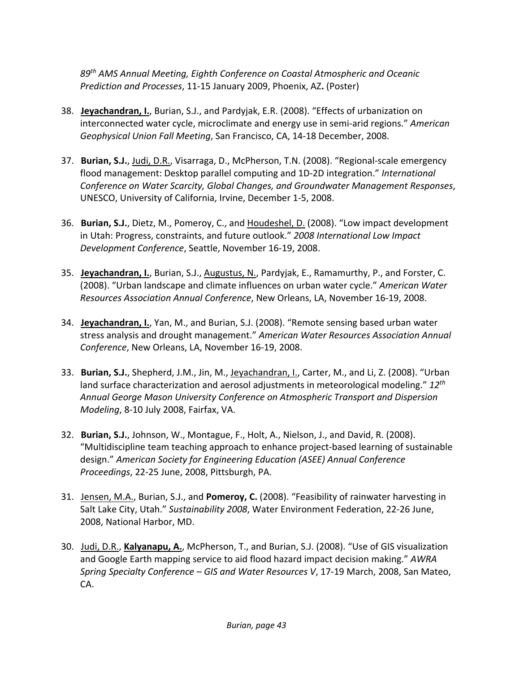*89th AMS Annual Meeting, Eighth Conference on Coastal Atmospheric and Oceanic Prediction and Processes*, 11‐15 January 2009, Phoenix, AZ**.** (Poster)

- 38. **Jeyachandran, I.**, Burian, S.J., and Pardyjak, E.R. (2008). "Effects of urbanization on interconnected water cycle, microclimate and energy use in semi‐arid regions." *American Geophysical Union Fall Meeting*, San Francisco, CA, 14‐18 December, 2008.
- 37. **Burian, S.J.**, Judi, D.R., Visarraga, D., McPherson, T.N. (2008). "Regional‐scale emergency flood management: Desktop parallel computing and 1D‐2D integration." *International Conference on Water Scarcity, Global Changes, and Groundwater Management Responses*, UNESCO, University of California, Irvine, December 1‐5, 2008.
- 36. **Burian, S.J.**, Dietz, M., Pomeroy, C., and Houdeshel, D. (2008). "Low impact development in Utah: Progress, constraints, and future outlook." *2008 International Low Impact Development Conference*, Seattle, November 16‐19, 2008.
- 35. **Jeyachandran, I.**, Burian, S.J., Augustus, N., Pardyjak, E., Ramamurthy, P., and Forster, C. (2008). "Urban landscape and climate influences on urban water cycle." *American Water Resources Association Annual Conference*, New Orleans, LA, November 16‐19, 2008.
- 34. **Jeyachandran, I.**, Yan, M., and Burian, S.J. (2008). "Remote sensing based urban water stress analysis and drought management." *American Water Resources Association Annual Conference*, New Orleans, LA, November 16‐19, 2008.
- 33. **Burian, S.J.**, Shepherd, J.M., Jin, M., Jeyachandran, I., Carter, M., and Li, Z. (2008). "Urban land surface characterization and aerosol adjustments in meteorological modeling." *12th Annual George Mason University Conference on Atmospheric Transport and Dispersion Modeling*, 8‐10 July 2008, Fairfax, VA.
- 32. **Burian, S.J.**, Johnson, W., Montague, F., Holt, A., Nielson, J., and David, R. (2008). "Multidiscipline team teaching approach to enhance project‐based learning of sustainable design." *American Society for Engineering Education (ASEE) Annual Conference Proceedings*, 22‐25 June, 2008, Pittsburgh, PA.
- 31. Jensen, M.A., Burian, S.J., and **Pomeroy, C.** (2008). "Feasibility of rainwater harvesting in Salt Lake City, Utah." *Sustainability 2008*, Water Environment Federation, 22‐26 June, 2008, National Harbor, MD.
- 30. Judi, D.R., **Kalyanapu, A.**, McPherson, T., and Burian, S.J. (2008). "Use of GIS visualization and Google Earth mapping service to aid flood hazard impact decision making." *AWRA Spring Specialty Conference – GIS and Water Resources V*, 17‐19 March, 2008, San Mateo, CA.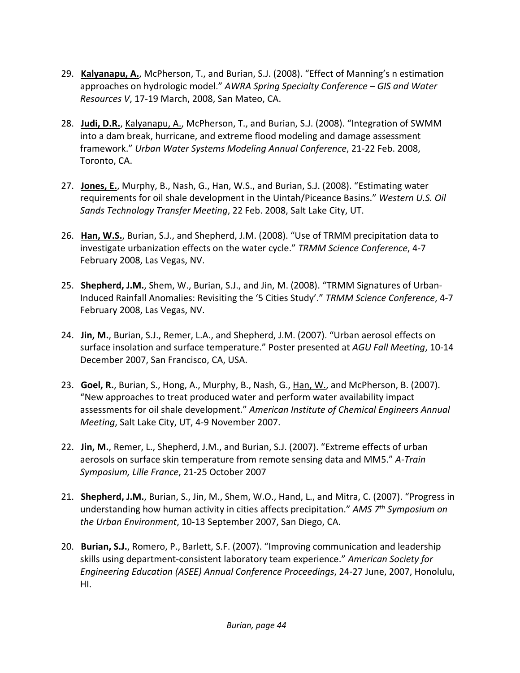- 29. **Kalyanapu, A.**, McPherson, T., and Burian, S.J. (2008). "Effect of Manning's n estimation approaches on hydrologic model." *AWRA Spring Specialty Conference – GIS and Water Resources V*, 17‐19 March, 2008, San Mateo, CA.
- 28. **Judi, D.R.**, Kalyanapu, A., McPherson, T., and Burian, S.J. (2008). "Integration of SWMM into a dam break, hurricane, and extreme flood modeling and damage assessment framework." *Urban Water Systems Modeling Annual Conference*, 21‐22 Feb. 2008, Toronto, CA.
- 27. **Jones, E.**, Murphy, B., Nash, G., Han, W.S., and Burian, S.J. (2008). "Estimating water requirements for oil shale development in the Uintah/Piceance Basins." *Western U.S. Oil Sands Technology Transfer Meeting*, 22 Feb. 2008, Salt Lake City, UT.
- 26. **Han, W.S.**, Burian, S.J., and Shepherd, J.M. (2008). "Use of TRMM precipitation data to investigate urbanization effects on the water cycle." *TRMM Science Conference*, 4‐7 February 2008, Las Vegas, NV.
- 25. **Shepherd, J.M.**, Shem, W., Burian, S.J., and Jin, M. (2008). "TRMM Signatures of Urban‐ Induced Rainfall Anomalies: Revisiting the '5 Cities Study'." *TRMM Science Conference*, 4‐7 February 2008, Las Vegas, NV.
- 24. **Jin, M.**, Burian, S.J., Remer, L.A., and Shepherd, J.M. (2007). "Urban aerosol effects on surface insolation and surface temperature." Poster presented at *AGU Fall Meeting*, 10‐14 December 2007, San Francisco, CA, USA.
- 23. **Goel, R.**, Burian, S., Hong, A., Murphy, B., Nash, G., Han, W., and McPherson, B. (2007). "New approaches to treat produced water and perform water availability impact assessments for oil shale development." *American Institute of Chemical Engineers Annual Meeting*, Salt Lake City, UT, 4‐9 November 2007.
- 22. **Jin, M.**, Remer, L., Shepherd, J.M., and Burian, S.J. (2007). "Extreme effects of urban aerosols on surface skin temperature from remote sensing data and MM5." *A‐Train Symposium, Lille France*, 21‐25 October 2007
- 21. **Shepherd, J.M.**, Burian, S., Jin, M., Shem, W.O., Hand, L., and Mitra, C. (2007). "Progress in understanding how human activity in cities affects precipitation." *AMS 7th Symposium on the Urban Environment*, 10‐13 September 2007, San Diego, CA.
- 20. **Burian, S.J.**, Romero, P., Barlett, S.F. (2007). "Improving communication and leadership skills using department‐consistent laboratory team experience." *American Society for Engineering Education (ASEE) Annual Conference Proceedings*, 24‐27 June, 2007, Honolulu, HI.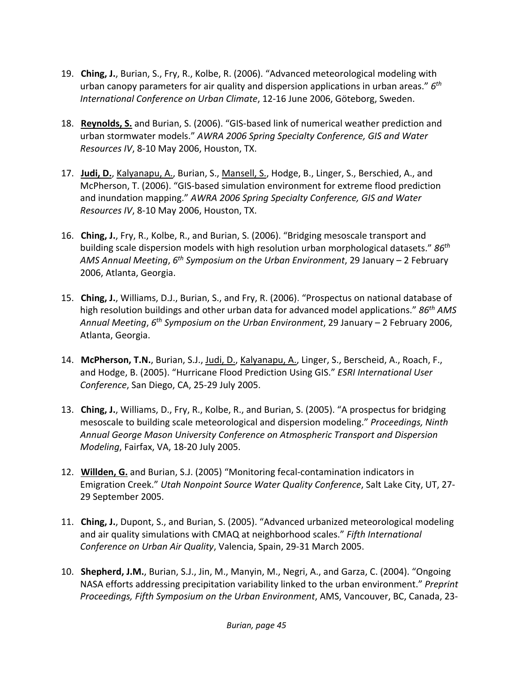- 19. **Ching, J.**, Burian, S., Fry, R., Kolbe, R. (2006). "Advanced meteorological modeling with urban canopy parameters for air quality and dispersion applications in urban areas." *6th International Conference on Urban Climate*, 12‐16 June 2006, Göteborg, Sweden.
- 18. **Reynolds, S.** and Burian, S. (2006). "GIS‐based link of numerical weather prediction and urban stormwater models." *AWRA 2006 Spring Specialty Conference, GIS and Water Resources IV*, 8‐10 May 2006, Houston, TX.
- 17. **Judi, D.**, Kalyanapu, A., Burian, S., Mansell, S., Hodge, B., Linger, S., Berschied, A., and McPherson, T. (2006). "GIS‐based simulation environment for extreme flood prediction and inundation mapping." *AWRA 2006 Spring Specialty Conference, GIS and Water Resources IV*, 8‐10 May 2006, Houston, TX.
- 16. **Ching, J.**, Fry, R., Kolbe, R., and Burian, S. (2006). "Bridging mesoscale transport and building scale dispersion models with high resolution urban morphological datasets." *86th AMS Annual Meeting*, *6th Symposium on the Urban Environment*, 29 January – 2 February 2006, Atlanta, Georgia.
- 15. **Ching, J.**, Williams, D.J., Burian, S., and Fry, R. (2006). "Prospectus on national database of high resolution buildings and other urban data for advanced model applications." *86th AMS Annual Meeting*, *6th Symposium on the Urban Environment*, 29 January – 2 February 2006, Atlanta, Georgia.
- 14. **McPherson, T.N.**, Burian, S.J., Judi, D., Kalyanapu, A., Linger, S., Berscheid, A., Roach, F., and Hodge, B. (2005). "Hurricane Flood Prediction Using GIS." *ESRI International User Conference*, San Diego, CA, 25‐29 July 2005.
- 13. **Ching, J.**, Williams, D., Fry, R., Kolbe, R., and Burian, S. (2005). "A prospectus for bridging mesoscale to building scale meteorological and dispersion modeling." *Proceedings, Ninth Annual George Mason University Conference on Atmospheric Transport and Dispersion Modeling*, Fairfax, VA, 18‐20 July 2005.
- 12. **Willden, G.** and Burian, S.J. (2005) "Monitoring fecal‐contamination indicators in Emigration Creek." *Utah Nonpoint Source Water Quality Conference*, Salt Lake City, UT, 27‐ 29 September 2005.
- 11. **Ching, J.**, Dupont, S., and Burian, S. (2005). "Advanced urbanized meteorological modeling and air quality simulations with CMAQ at neighborhood scales." *Fifth International Conference on Urban Air Quality*, Valencia, Spain, 29‐31 March 2005.
- 10. **Shepherd, J.M.**, Burian, S.J., Jin, M., Manyin, M., Negri, A., and Garza, C. (2004). "Ongoing NASA efforts addressing precipitation variability linked to the urban environment." *Preprint Proceedings, Fifth Symposium on the Urban Environment*, AMS, Vancouver, BC, Canada, 23‐